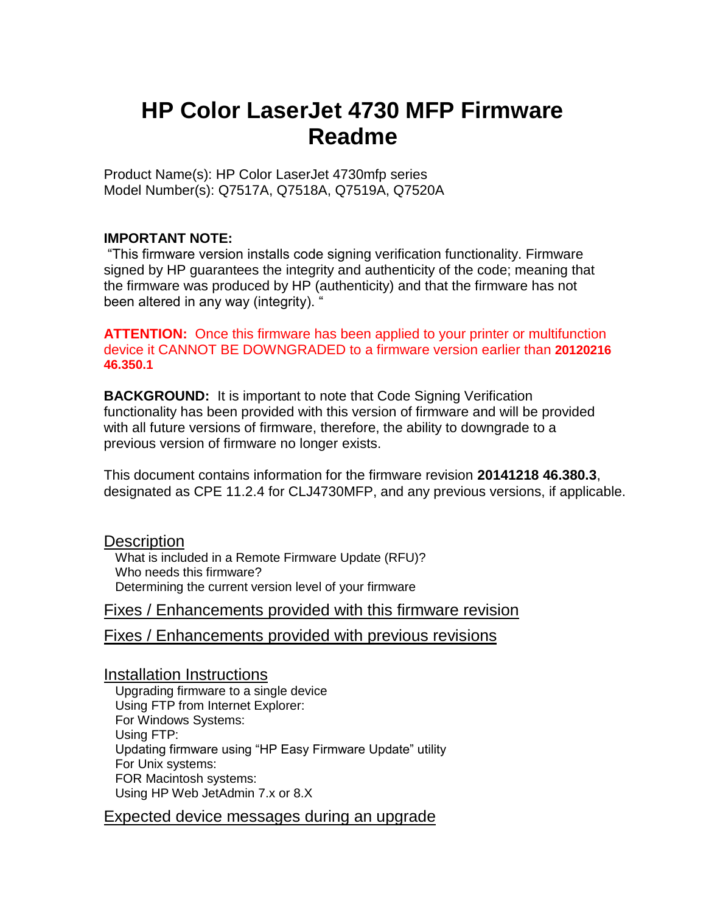# **HP Color LaserJet 4730 MFP Firmware Readme**

Product Name(s): HP Color LaserJet 4730mfp series Model Number(s): Q7517A, Q7518A, Q7519A, Q7520A

## **IMPORTANT NOTE:**

"This firmware version installs code signing verification functionality. Firmware signed by HP guarantees the integrity and authenticity of the code; meaning that the firmware was produced by HP (authenticity) and that the firmware has not been altered in any way (integrity). "

**ATTENTION:** Once this firmware has been applied to your printer or multifunction device it CANNOT BE DOWNGRADED to a firmware version earlier than **20120216 46.350.1**

**BACKGROUND:** It is important to note that Code Signing Verification functionality has been provided with this version of firmware and will be provided with all future versions of firmware, therefore, the ability to downgrade to a previous version of firmware no longer exists.

This document contains information for the firmware revision **20141218 46.380.3**, designated as CPE 11.2.4 for CLJ4730MFP, and any previous versions, if applicable.

## **Description**

What is included in a Remote Firmware Update (RFU)? Who needs this firmware? Determining the current version level of your firmware

Fixes / Enhancements provided with this firmware revision

## Fixes / Enhancements provided with previous revisions

Installation Instructions

Upgrading firmware to a single device Using FTP from Internet Explorer: For Windows Systems: Using FTP: Updating firmware using "HP Easy Firmware Update" utility For Unix systems: FOR Macintosh systems: Using HP Web JetAdmin 7.x or 8.X

## Expected device messages during an upgrade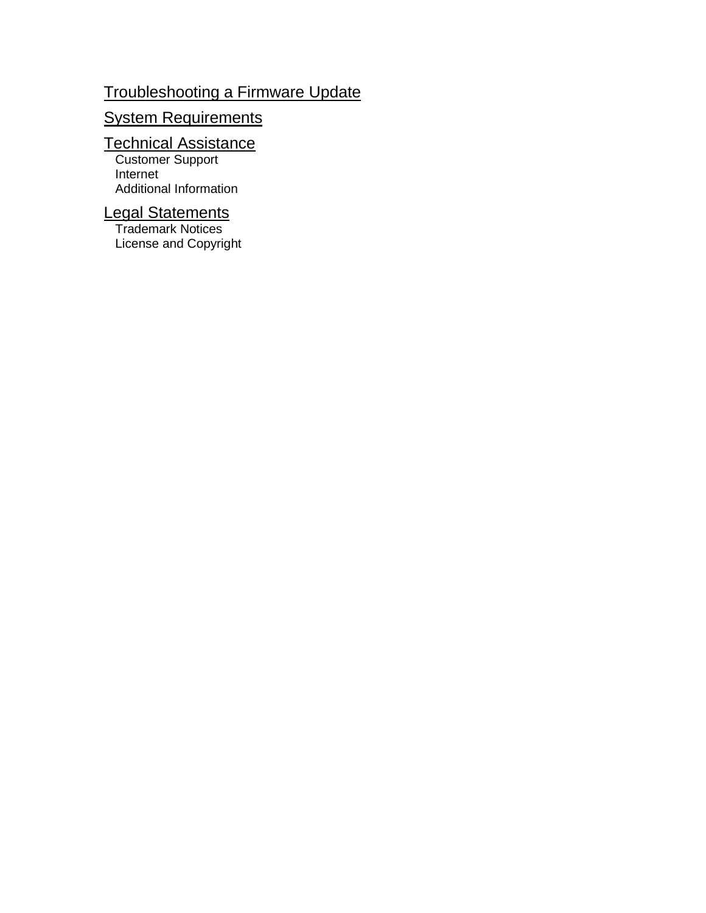# Troubleshooting a Firmware Update

# **System Requirements**

# [Technical Assistance](#page-46-0)

Customer Support Internet Additional Information

# **Legal Statements**

Trademark Notices License and Copyright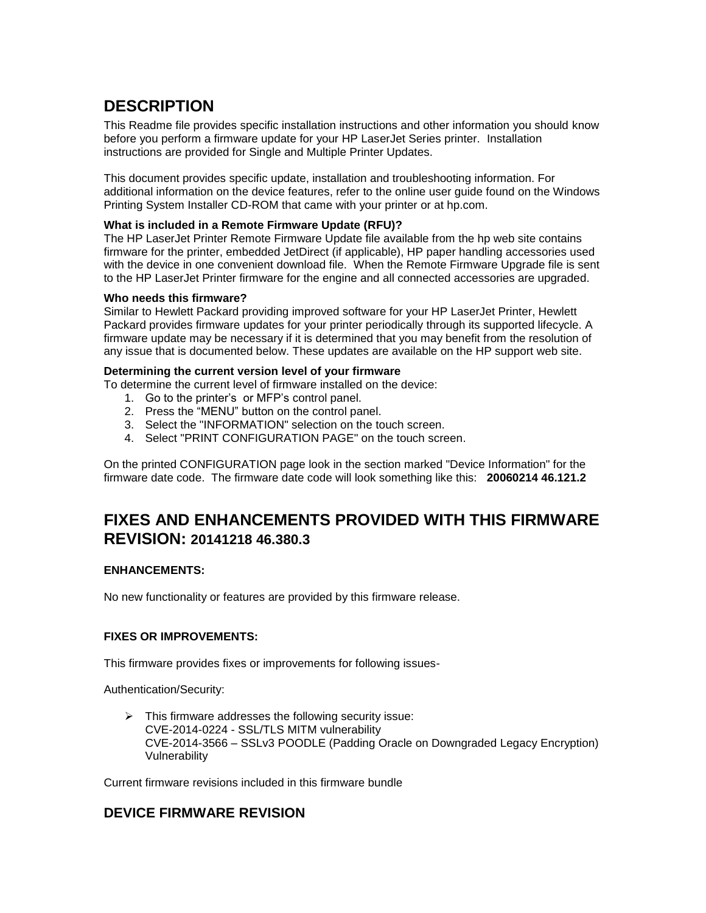# **DESCRIPTION**

This Readme file provides specific installation instructions and other information you should know before you perform a firmware update for your HP LaserJet Series printer. Installation instructions are provided for Single and Multiple Printer Updates.

This document provides specific update, installation and troubleshooting information. For additional information on the device features, refer to the online user guide found on the Windows Printing System Installer CD-ROM that came with your printer or at hp.com.

## **What is included in a Remote Firmware Update (RFU)?**

The HP LaserJet Printer Remote Firmware Update file available from the hp web site contains firmware for the printer, embedded JetDirect (if applicable), HP paper handling accessories used with the device in one convenient download file. When the Remote Firmware Upgrade file is sent to the HP LaserJet Printer firmware for the engine and all connected accessories are upgraded.

### **Who needs this firmware?**

Similar to Hewlett Packard providing improved software for your HP LaserJet Printer, Hewlett Packard provides firmware updates for your printer periodically through its supported lifecycle. A firmware update may be necessary if it is determined that you may benefit from the resolution of any issue that is documented below. These updates are available on the HP support web site.

### **Determining the current version level of your firmware**

To determine the current level of firmware installed on the device:

- 1. Go to the printer's or MFP's control panel.
- 2. Press the "MENU" button on the control panel.
- 3. Select the "INFORMATION" selection on the touch screen.
- 4. Select "PRINT CONFIGURATION PAGE" on the touch screen.

On the printed CONFIGURATION page look in the section marked "Device Information" for the firmware date code. The firmware date code will look something like this: **20060214 46.121.2**

# **FIXES AND ENHANCEMENTS PROVIDED WITH THIS FIRMWARE REVISION: 20141218 46.380.3**

## **ENHANCEMENTS:**

No new functionality or features are provided by this firmware release.

## **FIXES OR IMPROVEMENTS:**

This firmware provides fixes or improvements for following issues-

Authentication/Security:

 $\triangleright$  This firmware addresses the following security issue: CVE-2014-0224 - SSL/TLS MITM vulnerability CVE-2014-3566 – SSLv3 POODLE (Padding Oracle on Downgraded Legacy Encryption) Vulnerability

Current firmware revisions included in this firmware bundle

## **DEVICE FIRMWARE REVISION**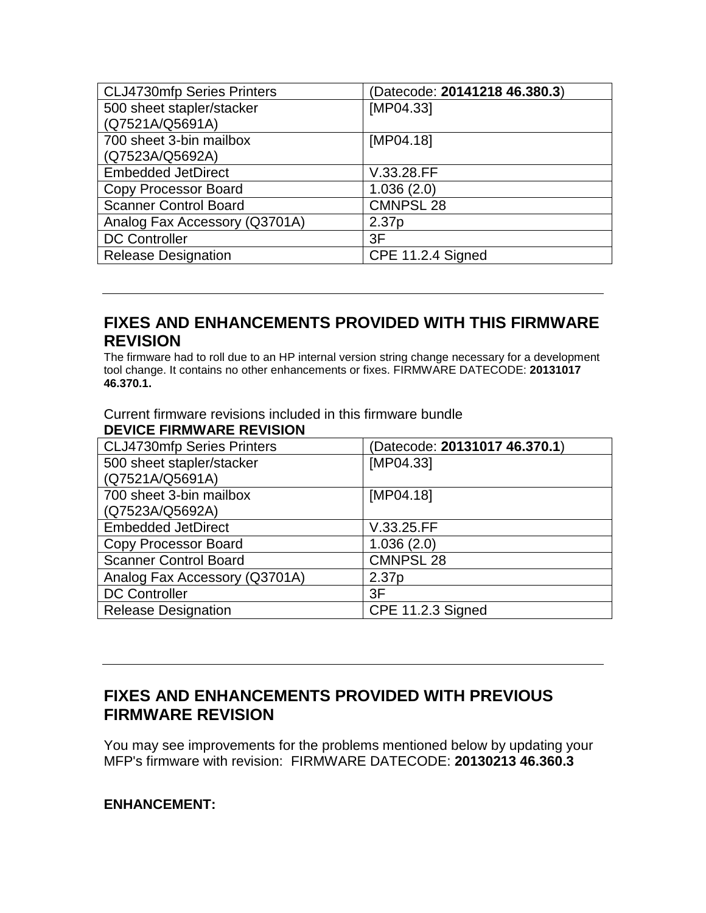| <b>CLJ4730mfp Series Printers</b> | (Datecode: 20141218 46.380.3) |
|-----------------------------------|-------------------------------|
| 500 sheet stapler/stacker         | [MP04.33]                     |
| (Q7521A/Q5691A)                   |                               |
| 700 sheet 3-bin mailbox           | [MP04.18]                     |
| (Q7523A/Q5692A)                   |                               |
| <b>Embedded JetDirect</b>         | $V.33.28$ .FF                 |
| Copy Processor Board              | 1.036(2.0)                    |
| <b>Scanner Control Board</b>      | <b>CMNPSL 28</b>              |
| Analog Fax Accessory (Q3701A)     | 2.37 <sub>p</sub>             |
| <b>DC Controller</b>              | 3F                            |
| <b>Release Designation</b>        | CPE 11.2.4 Signed             |

# **FIXES AND ENHANCEMENTS PROVIDED WITH THIS FIRMWARE REVISION**

The firmware had to roll due to an HP internal version string change necessary for a development tool change. It contains no other enhancements or fixes. FIRMWARE DATECODE: **20131017 46.370.1.**

Current firmware revisions included in this firmware bundle

## **DEVICE FIRMWARE REVISION**

| <b>CLJ4730mfp Series Printers</b> | (Datecode: 20131017 46.370.1) |
|-----------------------------------|-------------------------------|
| 500 sheet stapler/stacker         | [MP04.33]                     |
| (Q7521A/Q5691A)                   |                               |
| 700 sheet 3-bin mailbox           | $[MP04.18]$                   |
| (Q7523A/Q5692A)                   |                               |
| <b>Embedded JetDirect</b>         | V.33.25.FF                    |
| <b>Copy Processor Board</b>       | 1.036(2.0)                    |
| <b>Scanner Control Board</b>      | <b>CMNPSL 28</b>              |
| Analog Fax Accessory (Q3701A)     | 2.37p                         |
| <b>DC Controller</b>              | 3F                            |
| <b>Release Designation</b>        | CPE 11.2.3 Signed             |

# **FIXES AND ENHANCEMENTS PROVIDED WITH PREVIOUS FIRMWARE REVISION**

You may see improvements for the problems mentioned below by updating your MFP's firmware with revision: FIRMWARE DATECODE: **20130213 46.360.3**

## **ENHANCEMENT:**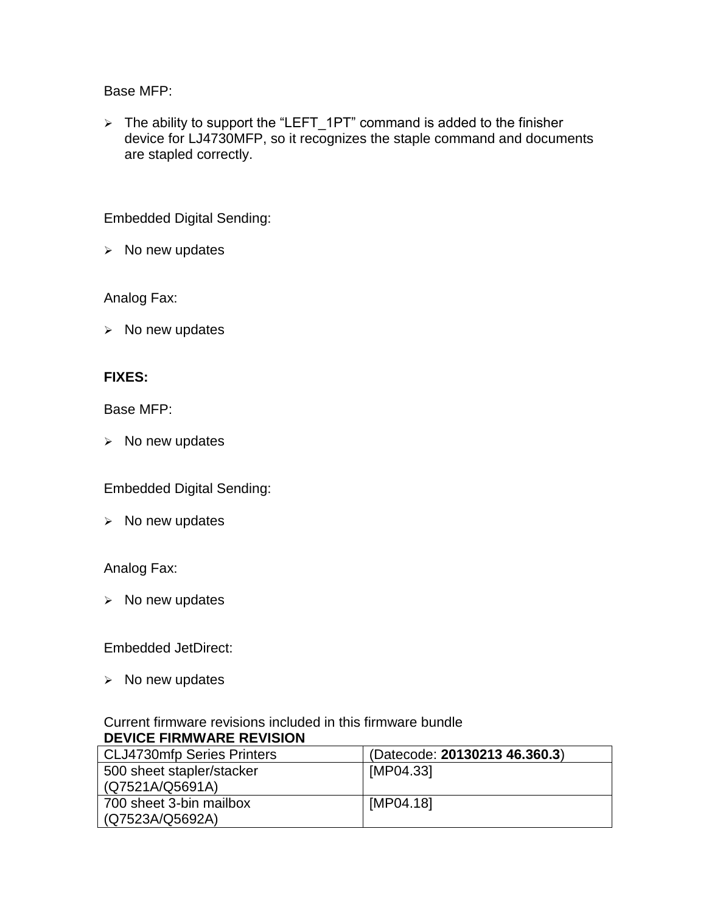Base MFP:

> The ability to support the "LEFT\_1PT" command is added to the finisher device for LJ4730MFP, so it recognizes the staple command and documents are stapled correctly.

Embedded Digital Sending:

 $\triangleright$  No new updates

Analog Fax:

 $\triangleright$  No new updates

## **FIXES:**

Base MFP:

 $\triangleright$  No new updates

Embedded Digital Sending:

 $\triangleright$  No new updates

## Analog Fax:

 $\triangleright$  No new updates

Embedded JetDirect:

 $\triangleright$  No new updates

### Current firmware revisions included in this firmware bundle **DEVICE FIRMWARE REVISION**

| <b>CLJ4730mfp Series Printers</b> | (Datecode: 20130213 46.360.3) |
|-----------------------------------|-------------------------------|
| 500 sheet stapler/stacker         | [MP04.33]                     |
| (Q7521A/Q5691A)                   |                               |
| 700 sheet 3-bin mailbox           | [MP04.18]                     |
| (Q7523A/Q5692A)                   |                               |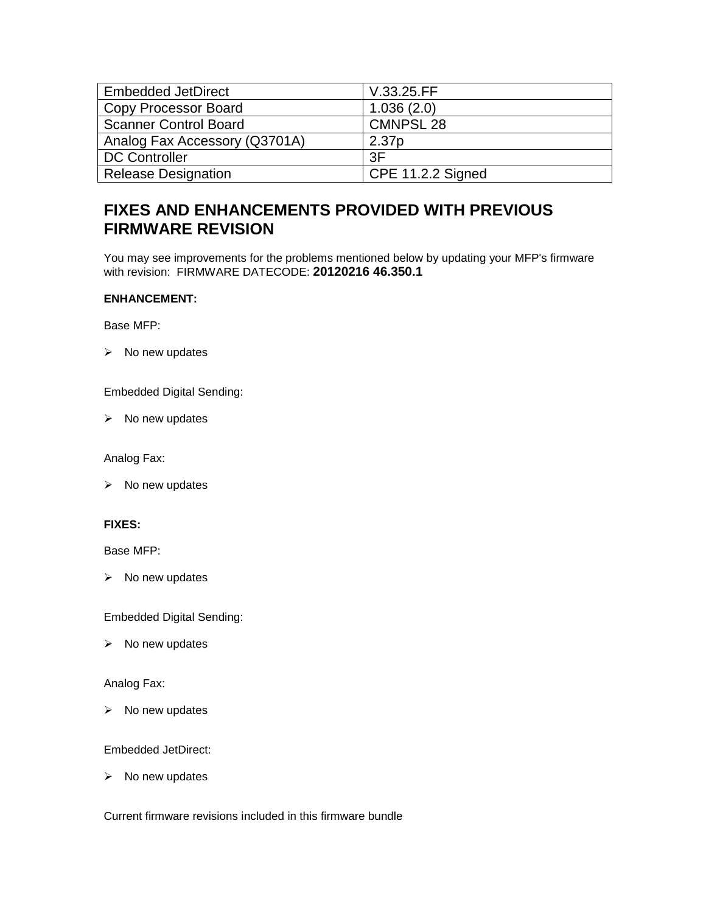| <b>Embedded JetDirect</b>     | V.33.25.FF        |
|-------------------------------|-------------------|
| Copy Processor Board          | 1.036(2.0)        |
| <b>Scanner Control Board</b>  | <b>CMNPSL 28</b>  |
| Analog Fax Accessory (Q3701A) | 2.37 <sub>p</sub> |
| <b>DC Controller</b>          | 3F                |
| <b>Release Designation</b>    | CPE 11.2.2 Signed |

# **FIXES AND ENHANCEMENTS PROVIDED WITH PREVIOUS FIRMWARE REVISION**

You may see improvements for the problems mentioned below by updating your MFP's firmware with revision: FIRMWARE DATECODE: **20120216 46.350.1**

### **ENHANCEMENT:**

Base MFP:

 $\triangleright$  No new updates

Embedded Digital Sending:

 $\triangleright$  No new updates

Analog Fax:

 $\triangleright$  No new updates

## **FIXES:**

Base MFP:

 $\triangleright$  No new updates

Embedded Digital Sending:

 $\triangleright$  No new updates

Analog Fax:

 $\triangleright$  No new updates

Embedded JetDirect:

 $\triangleright$  No new updates

Current firmware revisions included in this firmware bundle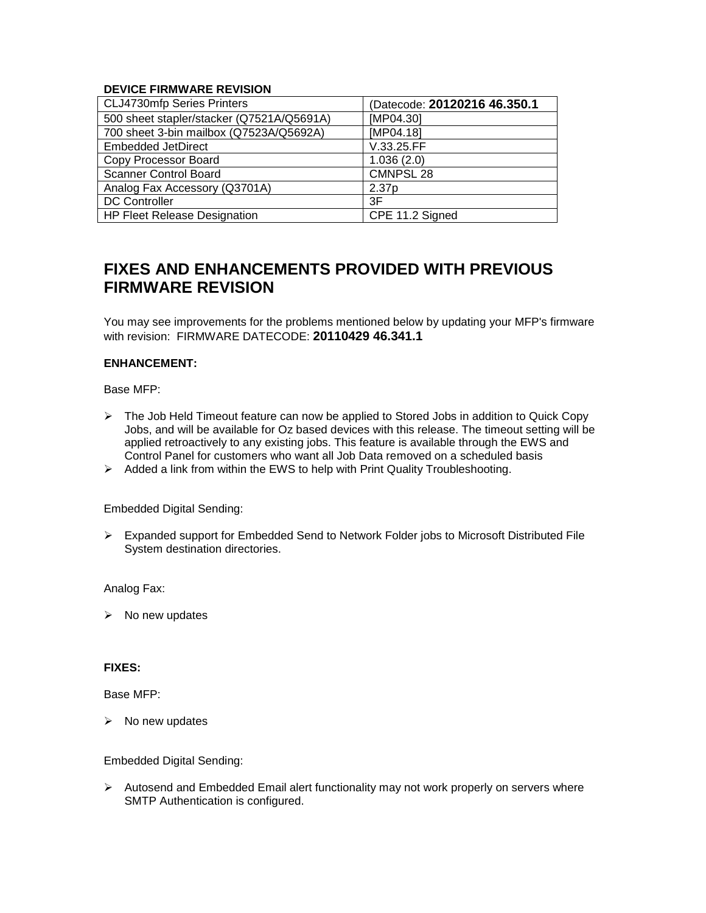## **DEVICE FIRMWARE REVISION**

| <b>CLJ4730mfp Series Printers</b>         | (Datecode: 20120216 46.350.1 |
|-------------------------------------------|------------------------------|
| 500 sheet stapler/stacker (Q7521A/Q5691A) | [MP04.30]                    |
| 700 sheet 3-bin mailbox (Q7523A/Q5692A)   | [MP04.18]                    |
| <b>Embedded JetDirect</b>                 | V.33.25.FF                   |
| Copy Processor Board                      | 1.036(2.0)                   |
| <b>Scanner Control Board</b>              | CMNPSL 28                    |
| Analog Fax Accessory (Q3701A)             | 2.37 <sub>p</sub>            |
| <b>DC Controller</b>                      | 3F                           |
| HP Fleet Release Designation              | CPE 11.2 Signed              |

# **FIXES AND ENHANCEMENTS PROVIDED WITH PREVIOUS FIRMWARE REVISION**

You may see improvements for the problems mentioned below by updating your MFP's firmware with revision: FIRMWARE DATECODE: **20110429 46.341.1**

### **ENHANCEMENT:**

Base MFP:

- $\triangleright$  The Job Held Timeout feature can now be applied to Stored Jobs in addition to Quick Copy Jobs, and will be available for Oz based devices with this release. The timeout setting will be applied retroactively to any existing jobs. This feature is available through the EWS and Control Panel for customers who want all Job Data removed on a scheduled basis
- $\triangleright$  Added a link from within the EWS to help with Print Quality Troubleshooting.

Embedded Digital Sending:

 $\triangleright$  Expanded support for Embedded Send to Network Folder jobs to Microsoft Distributed File System destination directories.

Analog Fax:

 $\triangleright$  No new updates

#### **FIXES:**

Base MFP:

 $\triangleright$  No new updates

Embedded Digital Sending:

 $\triangleright$  Autosend and Embedded Email alert functionality may not work properly on servers where SMTP Authentication is configured.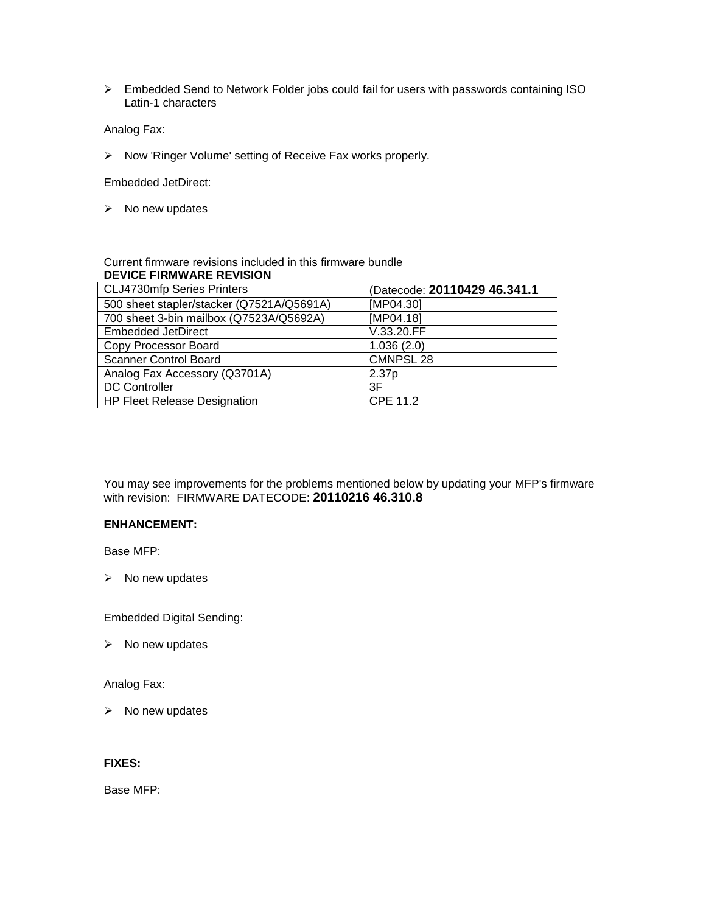Embedded Send to Network Folder jobs could fail for users with passwords containing ISO Latin-1 characters

Analog Fax:

> Now 'Ringer Volume' setting of Receive Fax works properly.

Embedded JetDirect:

 $\triangleright$  No new updates

#### Current firmware revisions included in this firmware bundle **DEVICE FIRMWARE REVISION**

| CLJ4730mfp Series Printers                | (Datecode: 20110429 46.341.1 |
|-------------------------------------------|------------------------------|
| 500 sheet stapler/stacker (Q7521A/Q5691A) | [MP04.30]                    |
| 700 sheet 3-bin mailbox (Q7523A/Q5692A)   | [MP04.18]                    |
| <b>Embedded JetDirect</b>                 | V.33.20.FF                   |
| Copy Processor Board                      | 1.036(2.0)                   |
| <b>Scanner Control Board</b>              | <b>CMNPSL 28</b>             |
| Analog Fax Accessory (Q3701A)             | 2.37p                        |
| <b>DC Controller</b>                      | 3F                           |
| <b>HP Fleet Release Designation</b>       | <b>CPE 11.2</b>              |

You may see improvements for the problems mentioned below by updating your MFP's firmware with revision: FIRMWARE DATECODE: **20110216 46.310.8**

#### **ENHANCEMENT:**

Base MFP:

 $\triangleright$  No new updates

Embedded Digital Sending:

 $\triangleright$  No new updates

Analog Fax:

 $\triangleright$  No new updates

## **FIXES:**

Base MFP: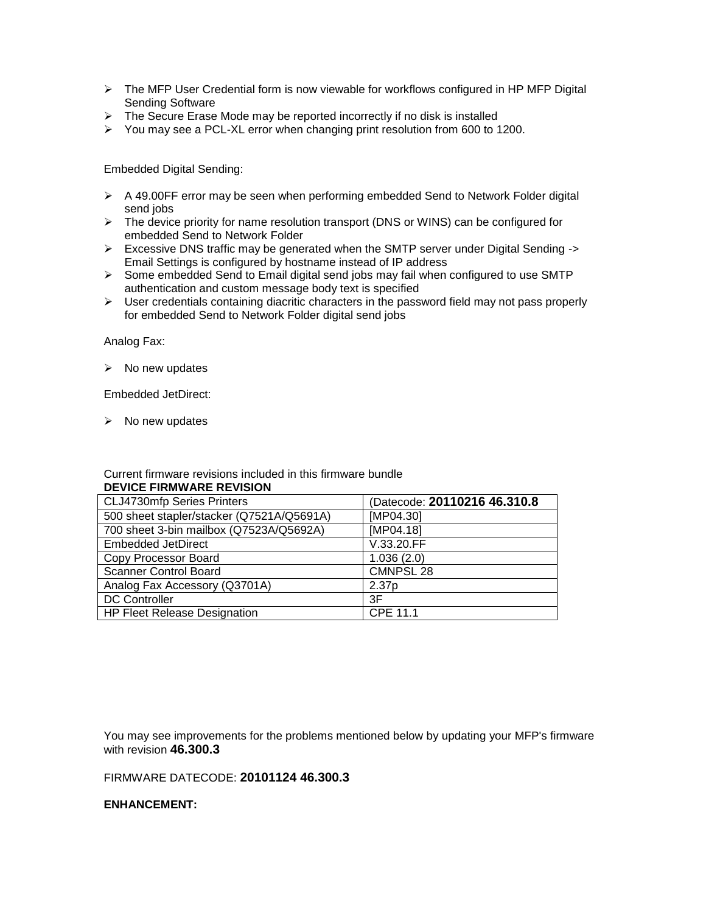- > The MFP User Credential form is now viewable for workflows configured in HP MFP Digital Sending Software
- $\triangleright$  The Secure Erase Mode may be reported incorrectly if no disk is installed
- You may see a PCL-XL error when changing print resolution from 600 to 1200.

#### Embedded Digital Sending:

- $\triangleright$  A 49.00FF error may be seen when performing embedded Send to Network Folder digital send jobs
- $\triangleright$  The device priority for name resolution transport (DNS or WINS) can be configured for embedded Send to Network Folder
- $\triangleright$  Excessive DNS traffic may be generated when the SMTP server under Digital Sending  $\cdot$ Email Settings is configured by hostname instead of IP address
- $\triangleright$  Some embedded Send to Email digital send jobs may fail when configured to use SMTP authentication and custom message body text is specified
- $\triangleright$  User credentials containing diacritic characters in the password field may not pass properly for embedded Send to Network Folder digital send jobs

#### Analog Fax:

 $\triangleright$  No new updates

Embedded JetDirect:

 $\triangleright$  No new updates

#### Current firmware revisions included in this firmware bundle **DEVICE FIRMWARE REVISION**

| <b>CLJ4730mfp Series Printers</b>         | (Datecode: 20110216 46.310.8 |
|-------------------------------------------|------------------------------|
| 500 sheet stapler/stacker (Q7521A/Q5691A) | [MP04.30]                    |
| 700 sheet 3-bin mailbox (Q7523A/Q5692A)   | [MP04.18]                    |
| <b>Embedded JetDirect</b>                 | V.33.20.FF                   |
| Copy Processor Board                      | 1.036(2.0)                   |
| <b>Scanner Control Board</b>              | <b>CMNPSL 28</b>             |
| Analog Fax Accessory (Q3701A)             | 2.37p                        |
| <b>DC Controller</b>                      | 3F                           |
| <b>HP Fleet Release Designation</b>       | CPE 11.1                     |
|                                           |                              |

You may see improvements for the problems mentioned below by updating your MFP's firmware with revision **46.300.3**

#### FIRMWARE DATECODE: **20101124 46.300.3**

#### **ENHANCEMENT:**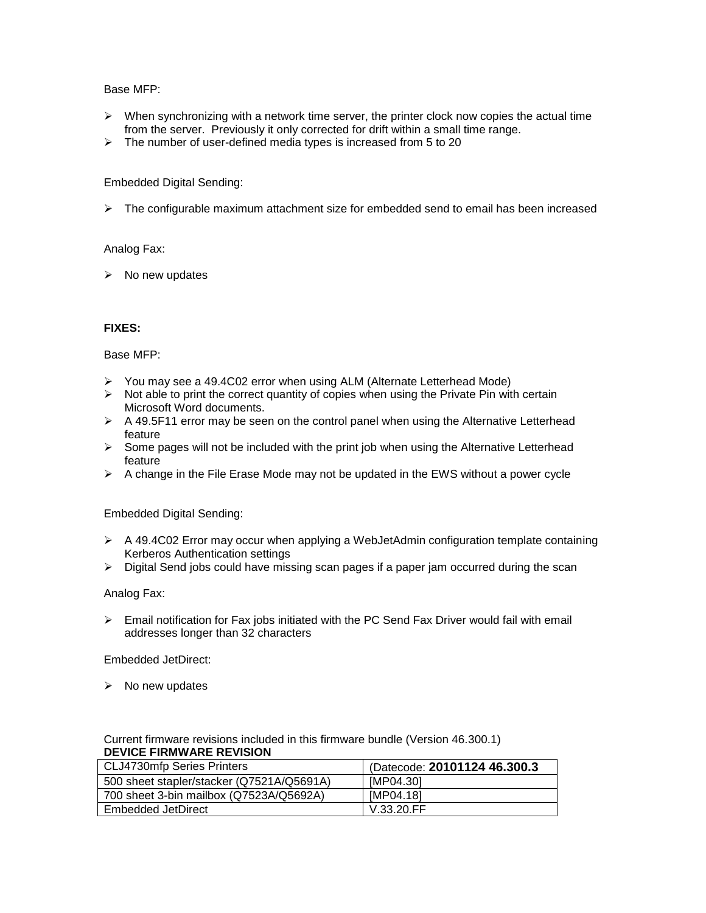## Base MFP:

- $\triangleright$  When synchronizing with a network time server, the printer clock now copies the actual time from the server. Previously it only corrected for drift within a small time range.
- $\triangleright$  The number of user-defined media types is increased from 5 to 20

#### Embedded Digital Sending:

 $\triangleright$  The configurable maximum attachment size for embedded send to email has been increased

#### Analog Fax:

 $\triangleright$  No new updates

#### **FIXES:**

#### Base MFP:

- You may see a 49.4C02 error when using ALM (Alternate Letterhead Mode)
- $\triangleright$  Not able to print the correct quantity of copies when using the Private Pin with certain Microsoft Word documents.
- $\triangleright$  A 49.5F11 error may be seen on the control panel when using the Alternative Letterhead feature
- $\triangleright$  Some pages will not be included with the print job when using the Alternative Letterhead feature
- $\triangleright$  A change in the File Erase Mode may not be updated in the EWS without a power cycle

#### Embedded Digital Sending:

- $\triangleright$  A 49.4C02 Error may occur when applying a WebJetAdmin configuration template containing Kerberos Authentication settings
- $\triangleright$  Digital Send jobs could have missing scan pages if a paper jam occurred during the scan

## Analog Fax:

 $\triangleright$  Email notification for Fax jobs initiated with the PC Send Fax Driver would fail with email addresses longer than 32 characters

#### Embedded JetDirect:

 $\triangleright$  No new updates

Current firmware revisions included in this firmware bundle (Version 46.300.1) **DEVICE FIRMWARE REVISION**

| <b>CLJ4730mfp Series Printers</b>         | (Datecode: 20101124 46.300.3 |
|-------------------------------------------|------------------------------|
| 500 sheet stapler/stacker (Q7521A/Q5691A) | [MP04.30]                    |
| 700 sheet 3-bin mailbox (Q7523A/Q5692A)   | [MP04.18]                    |
| Embedded JetDirect                        | $V.33.20$ .FF                |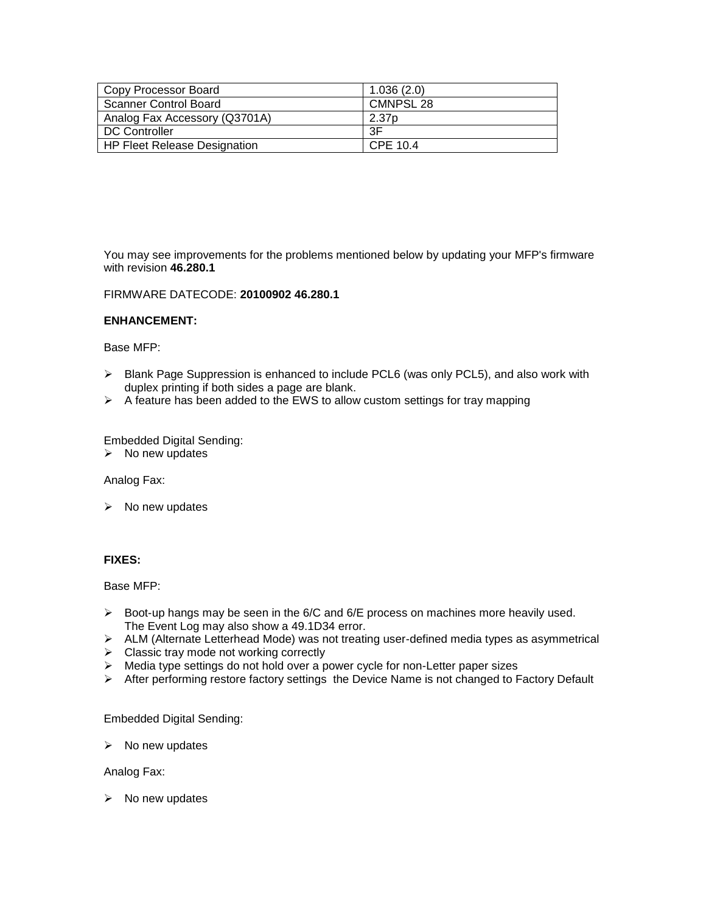| Copy Processor Board                | 1.036(2.0)        |
|-------------------------------------|-------------------|
| <b>Scanner Control Board</b>        | <b>CMNPSL 28</b>  |
| Analog Fax Accessory (Q3701A)       | 2.37 <sub>p</sub> |
| <b>DC Controller</b>                | -3F               |
| <b>HP Fleet Release Designation</b> | CPE 10.4          |

You may see improvements for the problems mentioned below by updating your MFP's firmware with revision **46.280.1**

### FIRMWARE DATECODE: **20100902 46.280.1**

### **ENHANCEMENT:**

Base MFP:

- ▶ Blank Page Suppression is enhanced to include PCL6 (was only PCL5), and also work with duplex printing if both sides a page are blank.
- $\triangleright$  A feature has been added to the EWS to allow custom settings for tray mapping

Embedded Digital Sending:

 $\triangleright$  No new updates

Analog Fax:

 $\triangleright$  No new updates

#### **FIXES:**

Base MFP:

- $\triangleright$  Boot-up hangs may be seen in the 6/C and 6/E process on machines more heavily used. The Event Log may also show a 49.1D34 error.
- $\triangleright$  ALM (Alternate Letterhead Mode) was not treating user-defined media types as asymmetrical
- $\triangleright$  Classic tray mode not working correctly
- $\triangleright$  Media type settings do not hold over a power cycle for non-Letter paper sizes
- After performing restore factory settings the Device Name is not changed to Factory Default

#### Embedded Digital Sending:

 $\triangleright$  No new updates

Analog Fax:

 $\triangleright$  No new updates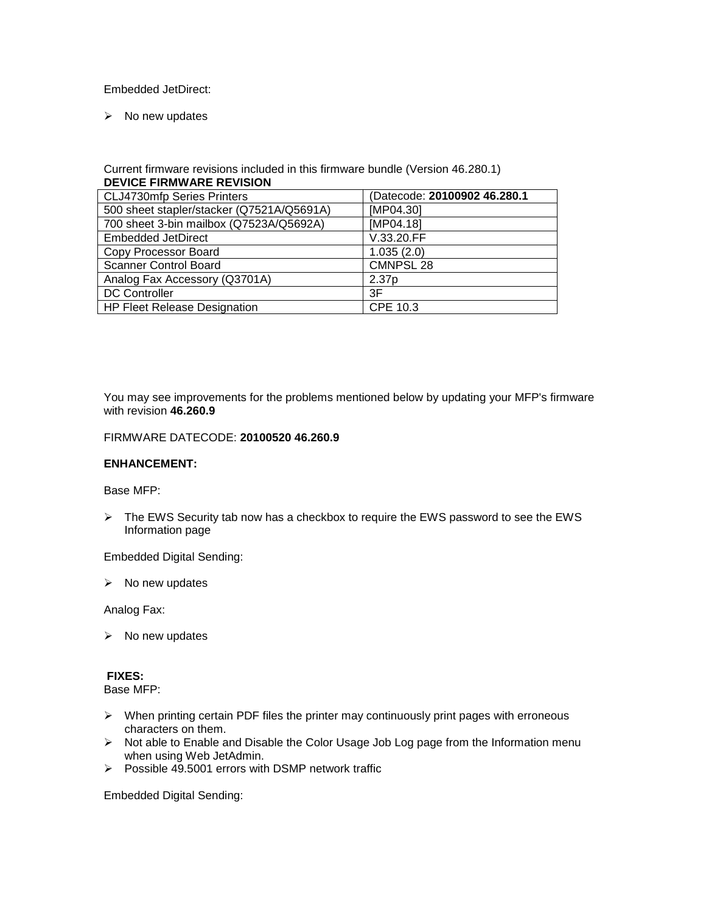Embedded JetDirect:

 $\triangleright$  No new updates

Current firmware revisions included in this firmware bundle (Version 46.280.1) **DEVICE FIRMWARE REVISION**

| <b>CLJ4730mfp Series Printers</b>         | (Datecode: 20100902 46.280.1 |
|-------------------------------------------|------------------------------|
| 500 sheet stapler/stacker (Q7521A/Q5691A) | [MP04.30]                    |
| 700 sheet 3-bin mailbox (Q7523A/Q5692A)   | [MP04.18]                    |
| <b>Embedded JetDirect</b>                 | V.33.20.FF                   |
| Copy Processor Board                      | 1.035(2.0)                   |
| <b>Scanner Control Board</b>              | CMNPSL 28                    |
| Analog Fax Accessory (Q3701A)             | 2.37 <sub>p</sub>            |
| <b>DC Controller</b>                      | 3F                           |
| HP Fleet Release Designation              | CPE 10.3                     |

You may see improvements for the problems mentioned below by updating your MFP's firmware with revision **46.260.9**

## FIRMWARE DATECODE: **20100520 46.260.9**

### **ENHANCEMENT:**

#### Base MFP:

 $\triangleright$  The EWS Security tab now has a checkbox to require the EWS password to see the EWS Information page

Embedded Digital Sending:

 $\triangleright$  No new updates

Analog Fax:

 $\triangleright$  No new updates

### **FIXES:**

Base MFP:

- $\triangleright$  When printing certain PDF files the printer may continuously print pages with erroneous characters on them.
- $\triangleright$  Not able to Enable and Disable the Color Usage Job Log page from the Information menu when using Web JetAdmin.
- $\triangleright$  Possible 49.5001 errors with DSMP network traffic

Embedded Digital Sending: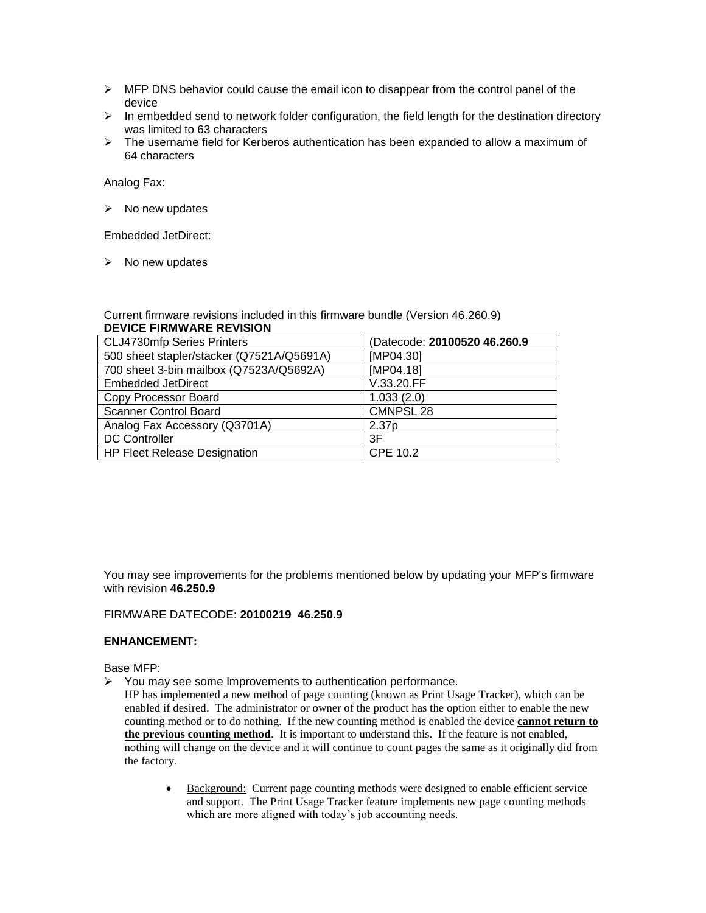- $\triangleright$  MFP DNS behavior could cause the email icon to disappear from the control panel of the device
- $\triangleright$  In embedded send to network folder configuration, the field length for the destination directory was limited to 63 characters
- $\triangleright$  The username field for Kerberos authentication has been expanded to allow a maximum of 64 characters

Analog Fax:

 $\triangleright$  No new updates

Embedded JetDirect:

 $\triangleright$  No new updates

Current firmware revisions included in this firmware bundle (Version 46.260.9) **DEVICE FIRMWARE REVISION**

| <b>CLJ4730mfp Series Printers</b>         | (Datecode: 20100520 46.260.9 |
|-------------------------------------------|------------------------------|
| 500 sheet stapler/stacker (Q7521A/Q5691A) | [MP04.30]                    |
| 700 sheet 3-bin mailbox (Q7523A/Q5692A)   | [MP04.18]                    |
| <b>Embedded JetDirect</b>                 | V.33.20.FF                   |
| Copy Processor Board                      | 1.033(2.0)                   |
| <b>Scanner Control Board</b>              | <b>CMNPSL 28</b>             |
| Analog Fax Accessory (Q3701A)             | 2.37p                        |
| <b>DC Controller</b>                      | 3F                           |
| <b>HP Fleet Release Designation</b>       | <b>CPE 10.2</b>              |

You may see improvements for the problems mentioned below by updating your MFP's firmware with revision **46.250.9**

### FIRMWARE DATECODE: **20100219 46.250.9**

#### **ENHANCEMENT:**

#### Base MFP:

 $\triangleright$  You may see some Improvements to authentication performance.

HP has implemented a new method of page counting (known as Print Usage Tracker), which can be enabled if desired. The administrator or owner of the product has the option either to enable the new counting method or to do nothing. If the new counting method is enabled the device **cannot return to the previous counting method**. It is important to understand this. If the feature is not enabled, nothing will change on the device and it will continue to count pages the same as it originally did from the factory.

 Background: Current page counting methods were designed to enable efficient service and support. The Print Usage Tracker feature implements new page counting methods which are more aligned with today's job accounting needs.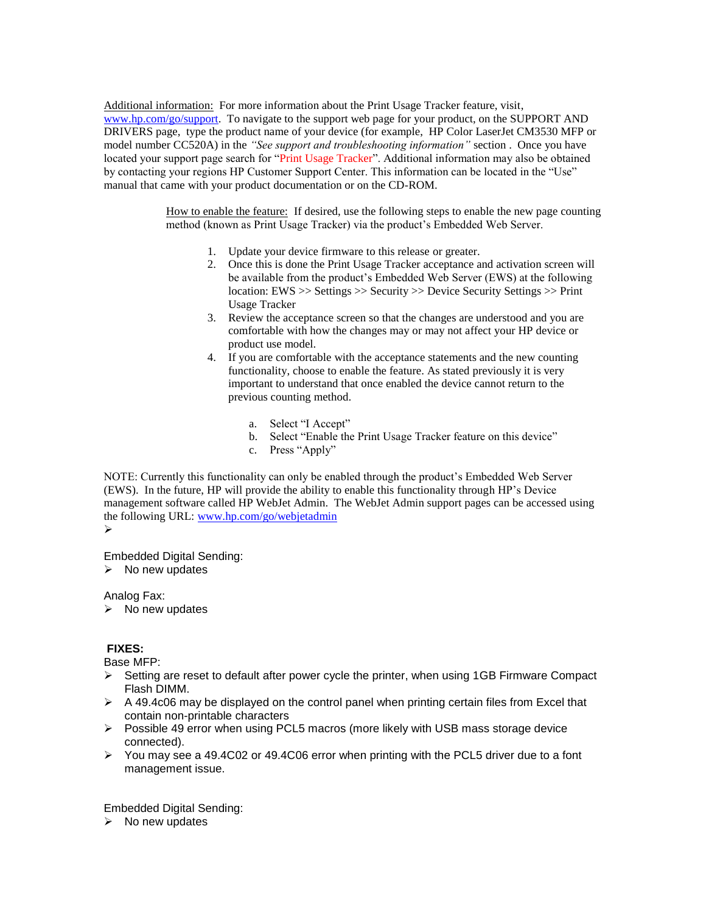Additional information: For more information about the Print Usage Tracker feature, visit, [www.hp.com/go/support.](http://www.hp.com/go/support) To navigate to the support web page for your product, on the SUPPORT AND DRIVERS page, type the product name of your device (for example, HP Color LaserJet CM3530 MFP or model number CC520A) in the *"See support and troubleshooting information"* section . Once you have located your support page search for "Print Usage Tracker". Additional information may also be obtained by contacting your regions HP Customer Support Center. This information can be located in the "Use" manual that came with your product documentation or on the CD-ROM.

> How to enable the feature: If desired, use the following steps to enable the new page counting method (known as Print Usage Tracker) via the product's Embedded Web Server.

- 1. Update your device firmware to this release or greater.
- 2. Once this is done the Print Usage Tracker acceptance and activation screen will be available from the product's Embedded Web Server (EWS) at the following location: EWS >> Settings >> Security >> Device Security Settings >> Print Usage Tracker
- 3. Review the acceptance screen so that the changes are understood and you are comfortable with how the changes may or may not affect your HP device or product use model.
- 4. If you are comfortable with the acceptance statements and the new counting functionality, choose to enable the feature. As stated previously it is very important to understand that once enabled the device cannot return to the previous counting method.
	- a. Select "I Accept"
	- b. Select "Enable the Print Usage Tracker feature on this device"
	- c. Press "Apply"

NOTE: Currently this functionality can only be enabled through the product's Embedded Web Server (EWS). In the future, HP will provide the ability to enable this functionality through HP's Device management software called HP WebJet Admin. The WebJet Admin support pages can be accessed using the following URL: [www.hp.com/go/webjetadmin](http://www.hp.com/go/webjetadmin)

 $\blacktriangleright$ 

Embedded Digital Sending:

 $\triangleright$  No new updates

Analog Fax:  $\triangleright$  No new updates

#### **FIXES:**

Base MFP:

- $\triangleright$  Setting are reset to default after power cycle the printer, when using 1GB Firmware Compact Flash DIMM.
- $\triangleright$  A 49.4c06 may be displayed on the control panel when printing certain files from Excel that contain non-printable characters
- $\triangleright$  Possible 49 error when using PCL5 macros (more likely with USB mass storage device connected).
- $\triangleright$  You may see a 49.4C02 or 49.4C06 error when printing with the PCL5 driver due to a font management issue.

Embedded Digital Sending:

 $\triangleright$  No new updates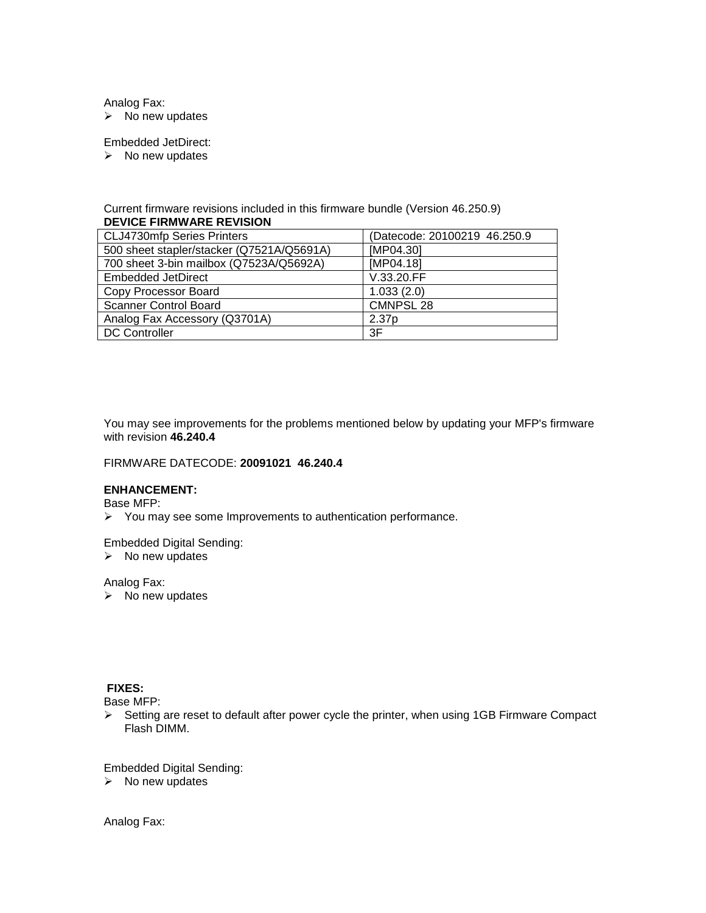#### Analog Fax:

 $\triangleright$  No new updates

Embedded JetDirect:

 $\triangleright$  No new updates

#### Current firmware revisions included in this firmware bundle (Version 46.250.9) **DEVICE FIRMWARE REVISION**

| <b>CLJ4730mfp Series Printers</b>         | (Datecode: 20100219 46.250.9 |
|-------------------------------------------|------------------------------|
| 500 sheet stapler/stacker (Q7521A/Q5691A) | [MP04.30]                    |
| 700 sheet 3-bin mailbox (Q7523A/Q5692A)   | [MP04.18]                    |
| <b>Embedded JetDirect</b>                 | $V.33.20$ .FF                |
| Copy Processor Board                      | 1.033(2.0)                   |
| <b>Scanner Control Board</b>              | CMNPSL 28                    |
| Analog Fax Accessory (Q3701A)             | 2.37p                        |
| <b>DC Controller</b>                      | 3F                           |

You may see improvements for the problems mentioned below by updating your MFP's firmware with revision **46.240.4**

### FIRMWARE DATECODE: **20091021 46.240.4**

### **ENHANCEMENT:**

Base MFP:

You may see some Improvements to authentication performance.

Embedded Digital Sending:

 $\triangleright$  No new updates

Analog Fax:

 $\triangleright$  No new updates

## **FIXES:**

Base MFP:

 $\triangleright$  Setting are reset to default after power cycle the printer, when using 1GB Firmware Compact Flash DIMM.

Embedded Digital Sending:

 $\triangleright$  No new updates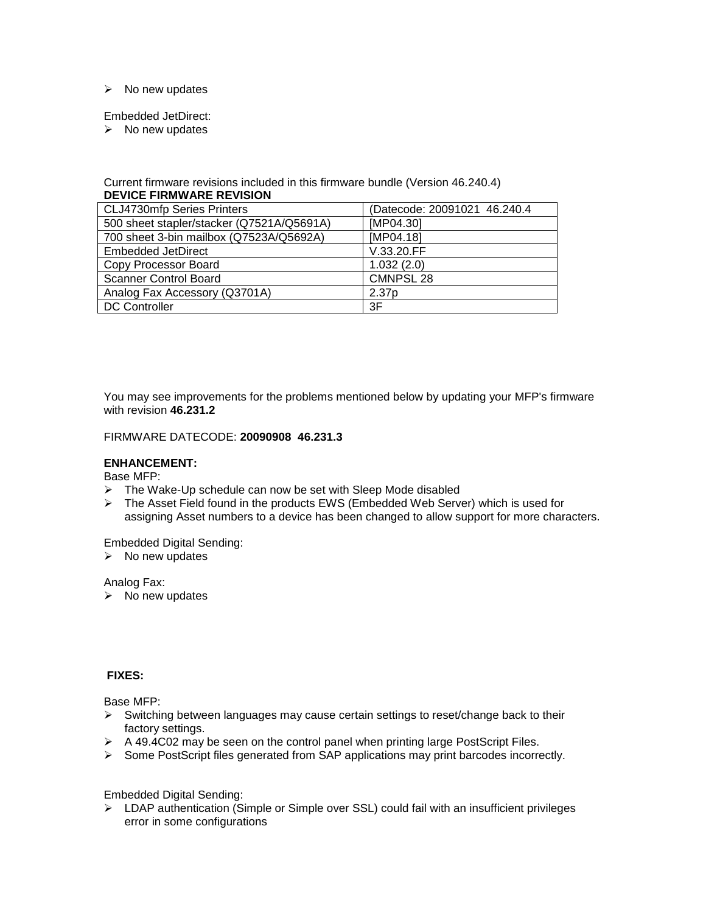#### $\triangleright$  No new updates

Embedded JetDirect:

 $\triangleright$  No new updates

#### Current firmware revisions included in this firmware bundle (Version 46.240.4) **DEVICE FIRMWARE REVISION**

| <b>CLJ4730mfp Series Printers</b>         | Datecode: 20091021 46.240.4 |
|-------------------------------------------|-----------------------------|
| 500 sheet stapler/stacker (Q7521A/Q5691A) | [MP04.30]                   |
| 700 sheet 3-bin mailbox (Q7523A/Q5692A)   | [MP04.18]                   |
| <b>Embedded JetDirect</b>                 | V.33.20.FF                  |
| Copy Processor Board                      | 1.032(2.0)                  |
| <b>Scanner Control Board</b>              | <b>CMNPSL 28</b>            |
| Analog Fax Accessory (Q3701A)             | 2.37 <sub>p</sub>           |
| <b>DC Controller</b>                      | 3F                          |

You may see improvements for the problems mentioned below by updating your MFP's firmware with revision **46.231.2**

### FIRMWARE DATECODE: **20090908 46.231.3**

## **ENHANCEMENT:**

Base MFP:

- $\triangleright$  The Wake-Up schedule can now be set with Sleep Mode disabled
- $\triangleright$  The Asset Field found in the products EWS (Embedded Web Server) which is used for assigning Asset numbers to a device has been changed to allow support for more characters.

Embedded Digital Sending:

 $\triangleright$  No new updates

Analog Fax:

 $\triangleright$  No new updates

#### **FIXES:**

Base MFP:

- $\triangleright$  Switching between languages may cause certain settings to reset/change back to their factory settings.
- $\triangleright$  A 49.4C02 may be seen on the control panel when printing large PostScript Files.
- $\triangleright$  Some PostScript files generated from SAP applications may print barcodes incorrectly.

Embedded Digital Sending:

 LDAP authentication (Simple or Simple over SSL) could fail with an insufficient privileges error in some configurations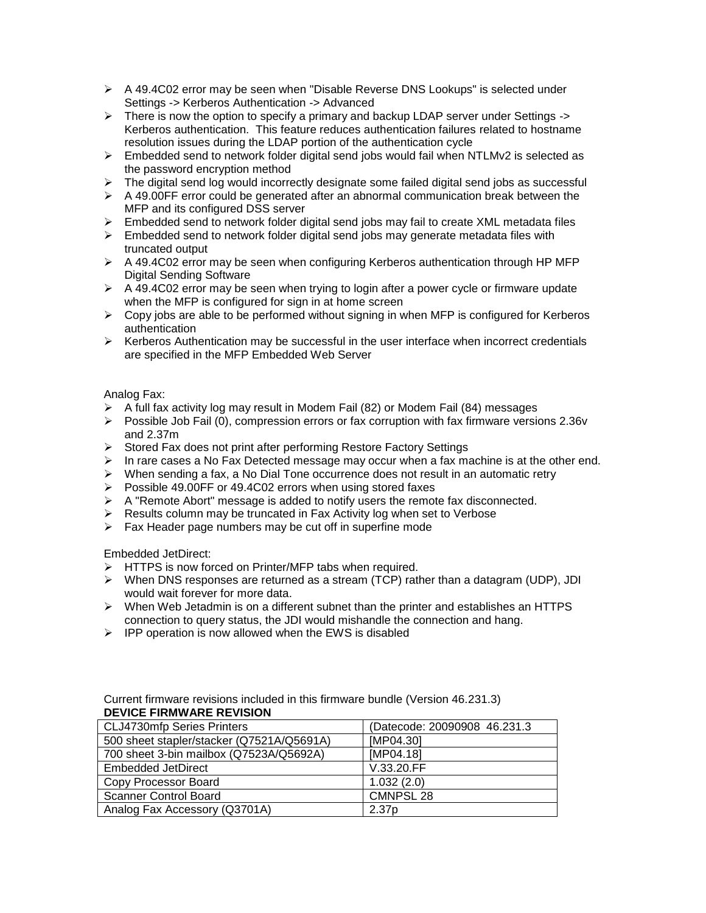- $\triangleright$  A 49.4C02 error may be seen when "Disable Reverse DNS Lookups" is selected under Settings -> Kerberos Authentication -> Advanced
- There is now the option to specify a primary and backup LDAP server under Settings -> Kerberos authentication. This feature reduces authentication failures related to hostname resolution issues during the LDAP portion of the authentication cycle
- $\triangleright$  Embedded send to network folder digital send jobs would fail when NTLMv2 is selected as the password encryption method
- $\triangleright$  The digital send log would incorrectly designate some failed digital send jobs as successful
- $\triangleright$  A 49.00FF error could be generated after an abnormal communication break between the MFP and its configured DSS server
- $\triangleright$  Embedded send to network folder digital send jobs may fail to create XML metadata files
- $\triangleright$  Embedded send to network folder digital send jobs may generate metadata files with truncated output
- $\triangleright$  A 49.4C02 error may be seen when configuring Kerberos authentication through HP MFP Digital Sending Software
- $\triangleright$  A 49.4C02 error may be seen when trying to login after a power cycle or firmware update when the MFP is configured for sign in at home screen
- $\triangleright$  Copy jobs are able to be performed without signing in when MFP is configured for Kerberos authentication
- $\triangleright$  Kerberos Authentication may be successful in the user interface when incorrect credentials are specified in the MFP Embedded Web Server

Analog Fax:

- $\triangleright$  A full fax activity log may result in Modem Fail (82) or Modem Fail (84) messages
- Possible Job Fail (0), compression errors or fax corruption with fax firmware versions 2.36v and 2.37m
- $\triangleright$  Stored Fax does not print after performing Restore Factory Settings
- $\triangleright$  In rare cases a No Fax Detected message may occur when a fax machine is at the other end.
- $\triangleright$  When sending a fax, a No Dial Tone occurrence does not result in an automatic retry
- Possible 49.00FF or 49.4C02 errors when using stored faxes
- $\triangleright$  A "Remote Abort" message is added to notify users the remote fax disconnected.
- $\triangleright$  Results column may be truncated in Fax Activity log when set to Verbose
- $\triangleright$  Fax Header page numbers may be cut off in superfine mode

Embedded JetDirect:

- > HTTPS is now forced on Printer/MFP tabs when required.
- $\triangleright$  When DNS responses are returned as a stream (TCP) rather than a datagram (UDP), JDI would wait forever for more data.
- $\triangleright$  When Web Jetadmin is on a different subnet than the printer and establishes an HTTPS connection to query status, the JDI would mishandle the connection and hang.
- $\triangleright$  IPP operation is now allowed when the EWS is disabled

| <b>DEVICE FIRMWARE REVISION</b>           |                               |
|-------------------------------------------|-------------------------------|
| <b>CLJ4730mfp Series Printers</b>         | (Datecode: 20090908 46.231.3) |
| 500 sheet stapler/stacker (Q7521A/Q5691A) | [MP04.30]                     |
| 700 sheet 3-bin mailbox (Q7523A/Q5692A)   | [MP04.18]                     |
| Embedded JetDirect                        | $V.33.20$ .FF                 |
| Copy Processor Board                      | 1.032(2.0)                    |
| <b>Scanner Control Board</b>              | <b>CMNPSL 28</b>              |
| Analog Fax Accessory (Q3701A)             | 2.37 <sub>p</sub>             |

Current firmware revisions included in this firmware bundle (Version 46.231.3) **DEVICE FIRMWARE REVISION**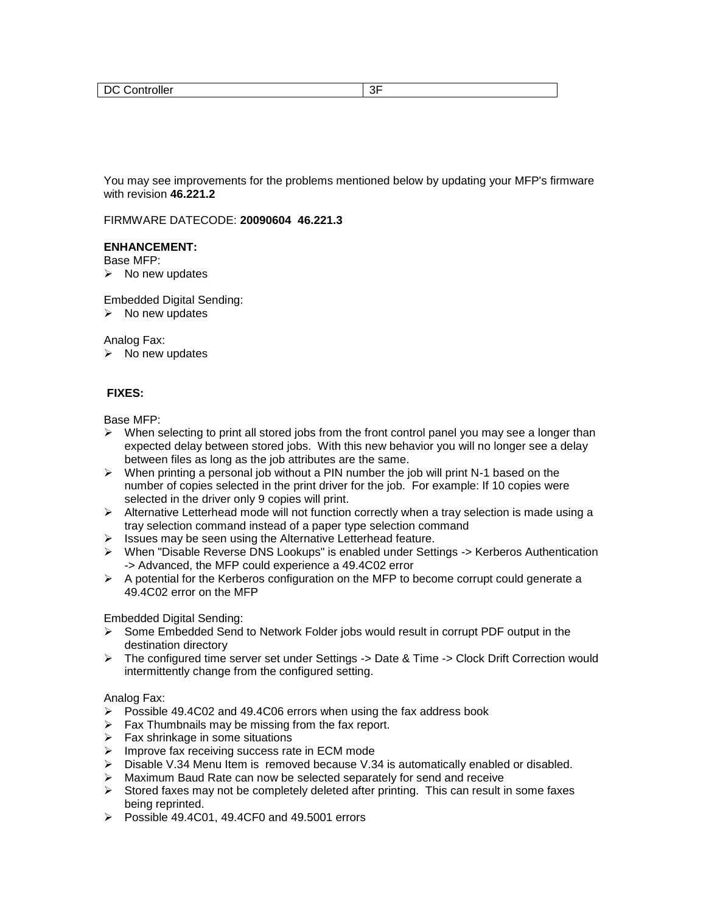| Controller<br>10 | $-$<br>≺►<br>ັບເ |
|------------------|------------------|
|------------------|------------------|

You may see improvements for the problems mentioned below by updating your MFP's firmware with revision **46.221.2**

#### FIRMWARE DATECODE: **20090604 46.221.3**

#### **ENHANCEMENT:**

Base MFP:

 $\triangleright$  No new updates

Embedded Digital Sending:

 $\triangleright$  No new updates

Analog Fax:

 $\triangleright$  No new updates

## **FIXES:**

Base MFP:

- $\triangleright$  When selecting to print all stored jobs from the front control panel you may see a longer than expected delay between stored jobs. With this new behavior you will no longer see a delay between files as long as the job attributes are the same.
- $\triangleright$  When printing a personal job without a PIN number the job will print N-1 based on the number of copies selected in the print driver for the job. For example: If 10 copies were selected in the driver only 9 copies will print.
- $\triangleright$  Alternative Letterhead mode will not function correctly when a tray selection is made using a tray selection command instead of a paper type selection command
- $\triangleright$  Issues may be seen using the Alternative Letterhead feature.
- When "Disable Reverse DNS Lookups" is enabled under Settings -> Kerberos Authentication -> Advanced, the MFP could experience a 49.4C02 error
- $\triangleright$  A potential for the Kerberos configuration on the MFP to become corrupt could generate a 49.4C02 error on the MFP

#### Embedded Digital Sending:

- $\triangleright$  Some Embedded Send to Network Folder jobs would result in corrupt PDF output in the destination directory
- The configured time server set under Settings -> Date & Time -> Clock Drift Correction would intermittently change from the configured setting.

- $\triangleright$  Possible 49.4C02 and 49.4C06 errors when using the fax address book
- $\triangleright$  Fax Thumbnails may be missing from the fax report.
- $\triangleright$  Fax shrinkage in some situations
- $\triangleright$  Improve fax receiving success rate in ECM mode
- $\triangleright$  Disable V.34 Menu Item is removed because V.34 is automatically enabled or disabled.
- $\triangleright$  Maximum Baud Rate can now be selected separately for send and receive
- $\triangleright$  Stored faxes may not be completely deleted after printing. This can result in some faxes being reprinted.
- Possible 49.4C01, 49.4CF0 and 49.5001 errors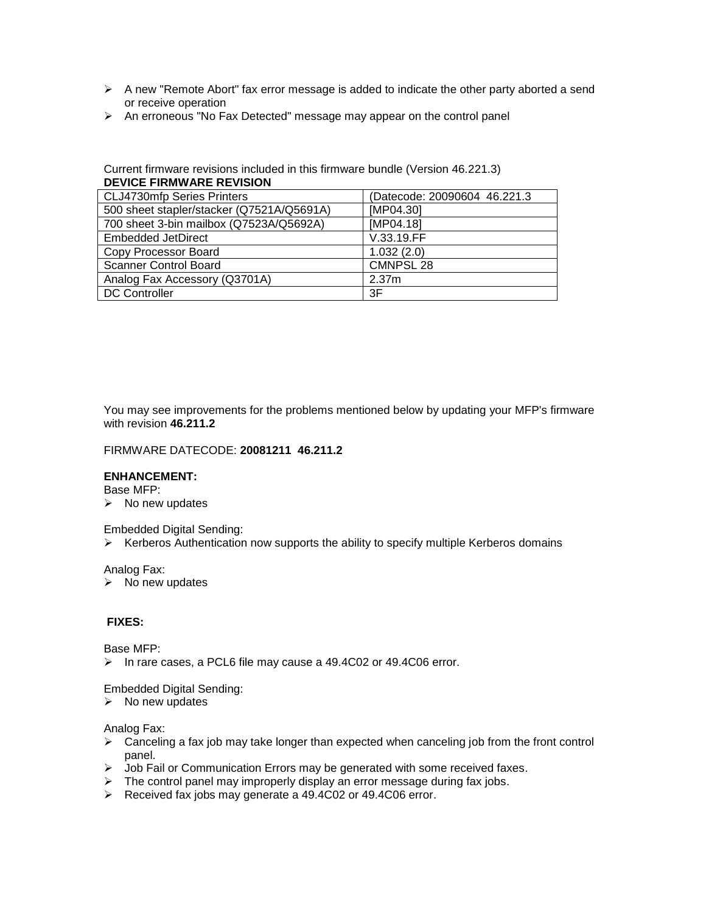- $\triangleright$  A new "Remote Abort" fax error message is added to indicate the other party aborted a send or receive operation
- An erroneous "No Fax Detected" message may appear on the control panel

Current firmware revisions included in this firmware bundle (Version 46.221.3) **DEVICE FIRMWARE REVISION**

| CLJ4730mfp Series Printers                | Datecode: 20090604 46.221.3 |
|-------------------------------------------|-----------------------------|
| 500 sheet stapler/stacker (Q7521A/Q5691A) | [MP04.30]                   |
| 700 sheet 3-bin mailbox (Q7523A/Q5692A)   | [MP04.18]                   |
| <b>Embedded JetDirect</b>                 | V.33.19.FF                  |
| Copy Processor Board                      | 1.032(2.0)                  |
| <b>Scanner Control Board</b>              | <b>CMNPSL 28</b>            |
| Analog Fax Accessory (Q3701A)             | 2.37 <sub>m</sub>           |
| <b>DC Controller</b>                      | 3F                          |

You may see improvements for the problems mentioned below by updating your MFP's firmware with revision **46.211.2**

### FIRMWARE DATECODE: **20081211 46.211.2**

### **ENHANCEMENT:**

Base MFP:

 $\triangleright$  No new updates

Embedded Digital Sending:

 $\triangleright$  Kerberos Authentication now supports the ability to specify multiple Kerberos domains

#### Analog Fax:

 $\triangleright$  No new updates

## **FIXES:**

Base MFP:

> In rare cases, a PCL6 file may cause a 49.4C02 or 49.4C06 error.

Embedded Digital Sending:

 $\triangleright$  No new updates

- $\triangleright$  Canceling a fax job may take longer than expected when canceling job from the front control panel.
- $\triangleright$  Job Fail or Communication Errors may be generated with some received faxes.
- The control panel may improperly display an error message during fax jobs.
- Received fax jobs may generate a 49.4C02 or 49.4C06 error.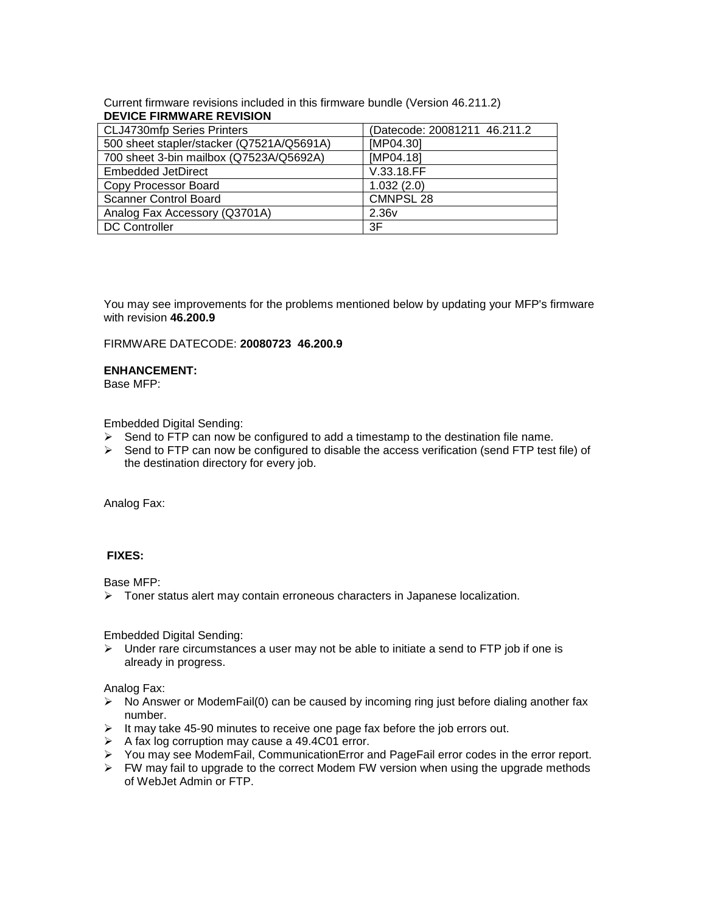#### Current firmware revisions included in this firmware bundle (Version 46.211.2) **DEVICE FIRMWARE REVISION**

| <b>CLJ4730mfp Series Printers</b>         | Datecode: 20081211 46.211.2 |
|-------------------------------------------|-----------------------------|
| 500 sheet stapler/stacker (Q7521A/Q5691A) | [MP04.30]                   |
| 700 sheet 3-bin mailbox (Q7523A/Q5692A)   | [MP04.18]                   |
| Embedded JetDirect                        | V.33.18.FF                  |
| Copy Processor Board                      | 1.032(2.0)                  |
| <b>Scanner Control Board</b>              | <b>CMNPSL 28</b>            |
| Analog Fax Accessory (Q3701A)             | 2.36v                       |
| <b>DC Controller</b>                      | 3F                          |

You may see improvements for the problems mentioned below by updating your MFP's firmware with revision **46.200.9**

### FIRMWARE DATECODE: **20080723 46.200.9**

### **ENHANCEMENT:**

Base MFP:

Embedded Digital Sending:

- $\triangleright$  Send to FTP can now be configured to add a timestamp to the destination file name.
- $\triangleright$  Send to FTP can now be configured to disable the access verification (send FTP test file) of the destination directory for every job.

Analog Fax:

#### **FIXES:**

Base MFP:

Toner status alert may contain erroneous characters in Japanese localization.

Embedded Digital Sending:

 $\triangleright$  Under rare circumstances a user may not be able to initiate a send to FTP job if one is already in progress.

- $\triangleright$  No Answer or ModemFail(0) can be caused by incoming ring just before dialing another fax number.
- $\triangleright$  It may take 45-90 minutes to receive one page fax before the job errors out.
- $\triangleright$  A fax log corruption may cause a 49.4C01 error.
- You may see ModemFail, CommunicationError and PageFail error codes in the error report.
- $\triangleright$  FW may fail to upgrade to the correct Modem FW version when using the upgrade methods of WebJet Admin or FTP.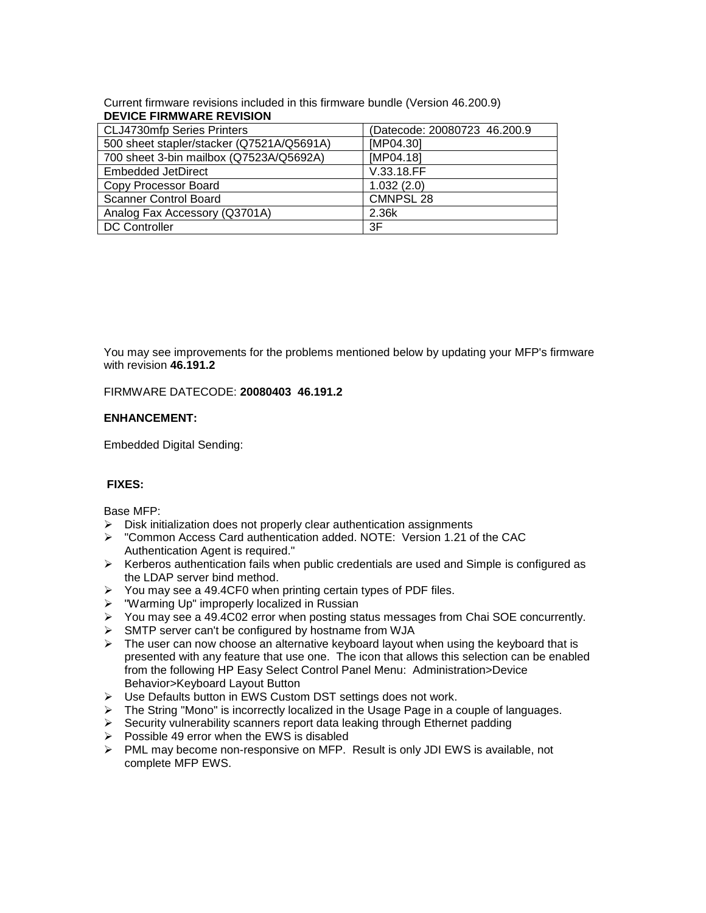#### Current firmware revisions included in this firmware bundle (Version 46.200.9) **DEVICE FIRMWARE REVISION**

| <b>CLJ4730mfp Series Printers</b>         | (Datecode: 20080723 46.200.9 |
|-------------------------------------------|------------------------------|
| 500 sheet stapler/stacker (Q7521A/Q5691A) | [MP04.30]                    |
| 700 sheet 3-bin mailbox (Q7523A/Q5692A)   | [MP04.18]                    |
| <b>Embedded JetDirect</b>                 | V.33.18.FF                   |
| Copy Processor Board                      | 1.032(2.0)                   |
| <b>Scanner Control Board</b>              | <b>CMNPSL 28</b>             |
| Analog Fax Accessory (Q3701A)             | 2.36k                        |
| <b>DC Controller</b>                      | 3F                           |

You may see improvements for the problems mentioned below by updating your MFP's firmware with revision **46.191.2**

FIRMWARE DATECODE: **20080403 46.191.2**

## **ENHANCEMENT:**

Embedded Digital Sending:

## **FIXES:**

Base MFP:

- $\triangleright$  Disk initialization does not properly clear authentication assignments
- $\triangleright$  "Common Access Card authentication added. NOTE: Version 1.21 of the CAC Authentication Agent is required."
- $\triangleright$  Kerberos authentication fails when public credentials are used and Simple is configured as the LDAP server bind method.
- $\triangleright$  You may see a 49.4CF0 when printing certain types of PDF files.
- > "Warming Up" improperly localized in Russian
- $\triangleright$  You may see a 49.4C02 error when posting status messages from Chai SOE concurrently.
- $\triangleright$  SMTP server can't be configured by hostname from WJA
- $\triangleright$  The user can now choose an alternative keyboard layout when using the keyboard that is presented with any feature that use one. The icon that allows this selection can be enabled from the following HP Easy Select Control Panel Menu: Administration>Device Behavior>Keyboard Layout Button
- Use Defaults button in EWS Custom DST settings does not work.
- > The String "Mono" is incorrectly localized in the Usage Page in a couple of languages.
- $\triangleright$  Security vulnerability scanners report data leaking through Ethernet padding
- $\triangleright$  Possible 49 error when the EWS is disabled
- $\triangleright$  PML may become non-responsive on MFP. Result is only JDI EWS is available, not complete MFP EWS.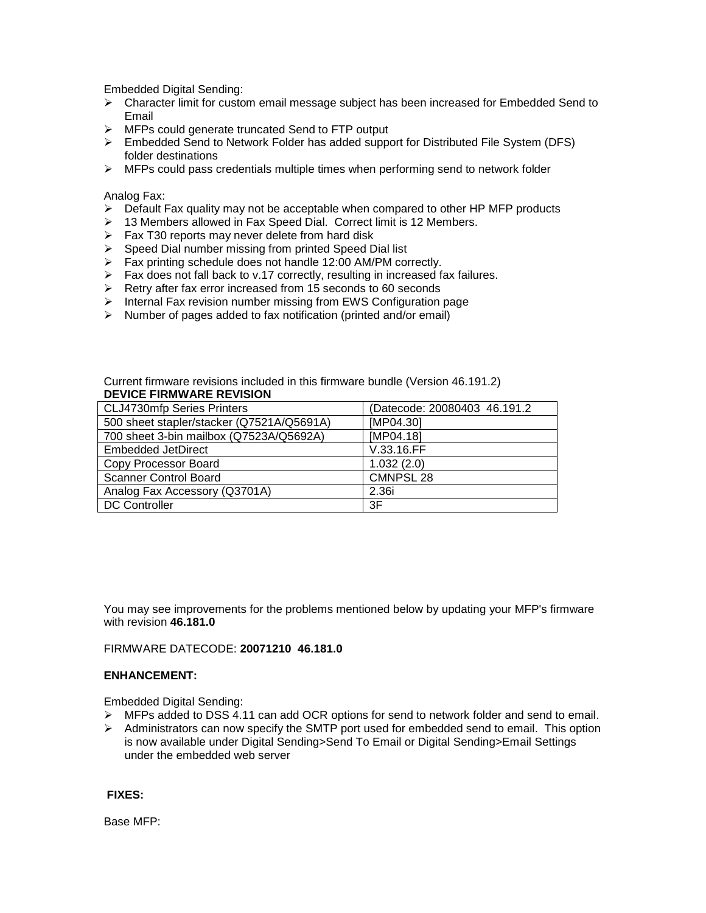Embedded Digital Sending:

- $\triangleright$  Character limit for custom email message subject has been increased for Embedded Send to Email
- MFPs could generate truncated Send to FTP output
- Embedded Send to Network Folder has added support for Distributed File System (DFS) folder destinations
- $\triangleright$  MFPs could pass credentials multiple times when performing send to network folder

Analog Fax:

- $\triangleright$  Default Fax quality may not be acceptable when compared to other HP MFP products
- 13 Members allowed in Fax Speed Dial. Correct limit is 12 Members.
- $\triangleright$  Fax T30 reports may never delete from hard disk
- ▶ Speed Dial number missing from printed Speed Dial list
- Fax printing schedule does not handle 12:00 AM/PM correctly.
- $\triangleright$  Fax does not fall back to v.17 correctly, resulting in increased fax failures.
- $\triangleright$  Retry after fax error increased from 15 seconds to 60 seconds
- $\triangleright$  Internal Fax revision number missing from EWS Configuration page
- $\triangleright$  Number of pages added to fax notification (printed and/or email)

#### Current firmware revisions included in this firmware bundle (Version 46.191.2) **DEVICE FIRMWARE REVISION**

| <b>CLJ4730mfp Series Printers</b>         | (Datecode: 20080403 46.191.2) |
|-------------------------------------------|-------------------------------|
| 500 sheet stapler/stacker (Q7521A/Q5691A) | [MP04.30]                     |
| 700 sheet 3-bin mailbox (Q7523A/Q5692A)   | [MP04.18]                     |
| <b>Embedded JetDirect</b>                 | V.33.16.FF                    |
| Copy Processor Board                      | 1.032(2.0)                    |
| <b>Scanner Control Board</b>              | <b>CMNPSL 28</b>              |
| Analog Fax Accessory (Q3701A)             | 2.36i                         |
| <b>DC Controller</b>                      | 3F                            |

You may see improvements for the problems mentioned below by updating your MFP's firmware with revision **46.181.0**

#### FIRMWARE DATECODE: **20071210 46.181.0**

#### **ENHANCEMENT:**

Embedded Digital Sending:

- $\triangleright$  MFPs added to DSS 4.11 can add OCR options for send to network folder and send to email.
- $\triangleright$  Administrators can now specify the SMTP port used for embedded send to email. This option is now available under Digital Sending>Send To Email or Digital Sending>Email Settings under the embedded web server

#### **FIXES:**

Base MFP: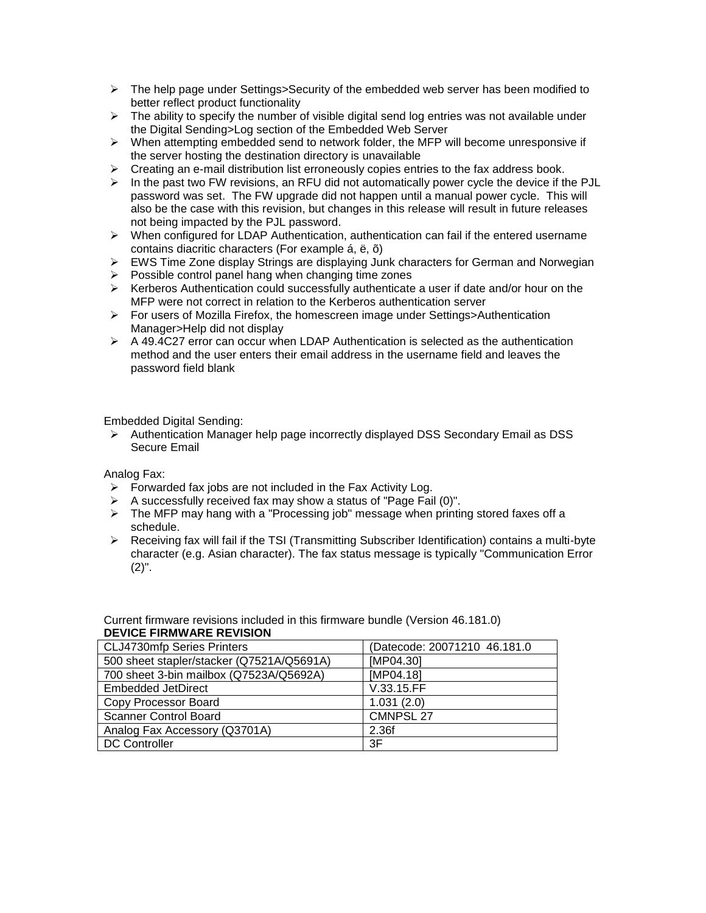- $\triangleright$  The help page under Settings>Security of the embedded web server has been modified to better reflect product functionality
- $\triangleright$  The ability to specify the number of visible digital send log entries was not available under the Digital Sending>Log section of the Embedded Web Server
- $\triangleright$  When attempting embedded send to network folder, the MFP will become unresponsive if the server hosting the destination directory is unavailable
- $\triangleright$  Creating an e-mail distribution list erroneously copies entries to the fax address book.
- $\triangleright$  In the past two FW revisions, an RFU did not automatically power cycle the device if the PJL password was set. The FW upgrade did not happen until a manual power cycle. This will also be the case with this revision, but changes in this release will result in future releases not being impacted by the PJL password.
- $\triangleright$  When configured for LDAP Authentication, authentication can fail if the entered username contains diacritic characters (For example á, ë, õ)
- $\triangleright$  EWS Time Zone display Strings are displaying Junk characters for German and Norwegian
- $\triangleright$  Possible control panel hang when changing time zones
- $\triangleright$  Kerberos Authentication could successfully authenticate a user if date and/or hour on the MFP were not correct in relation to the Kerberos authentication server
- $\triangleright$  For users of Mozilla Firefox, the homescreen image under Settings>Authentication Manager>Help did not display
- $\triangleright$  A 49.4C27 error can occur when LDAP Authentication is selected as the authentication method and the user enters their email address in the username field and leaves the password field blank

Embedded Digital Sending:

 $\triangleright$  Authentication Manager help page incorrectly displayed DSS Secondary Email as DSS Secure Email

Analog Fax:

- $\triangleright$  Forwarded fax jobs are not included in the Fax Activity Log.
- $\triangleright$  A successfully received fax may show a status of "Page Fail (0)".
- $\triangleright$  The MFP may hang with a "Processing job" message when printing stored faxes off a schedule.
- $\triangleright$  Receiving fax will fail if the TSI (Transmitting Subscriber Identification) contains a multi-byte character (e.g. Asian character). The fax status message is typically "Communication Error  $(2)$ ".

CLJ4730mfp Series Printers (Datecode: 20071210 46.181.0 500 sheet stapler/stacker (Q7521A/Q5691A) [MP04.30] 700 sheet 3-bin mailbox (Q7523A/Q5692A) [MP04.18] Embedded JetDirect V.33.15.FF Copy Processor Board 1.031 (2.0) Scanner Control Board | CMNPSL 27 Analog Fax Accessory (Q3701A) 2.36f DC Controller 3F

#### Current firmware revisions included in this firmware bundle (Version 46.181.0) **DEVICE FIRMWARE REVISION**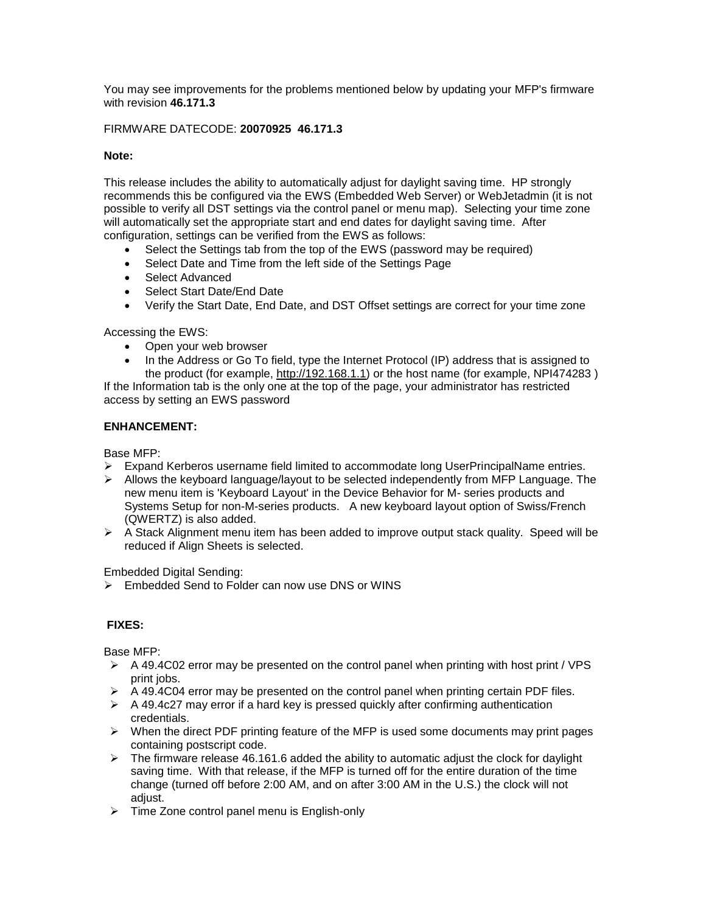You may see improvements for the problems mentioned below by updating your MFP's firmware with revision **46.171.3**

## FIRMWARE DATECODE: **20070925 46.171.3**

#### **Note:**

This release includes the ability to automatically adjust for daylight saving time. HP strongly recommends this be configured via the EWS (Embedded Web Server) or WebJetadmin (it is not possible to verify all DST settings via the control panel or menu map). Selecting your time zone will automatically set the appropriate start and end dates for daylight saving time. After configuration, settings can be verified from the EWS as follows:

- Select the Settings tab from the top of the EWS (password may be required)
- Select Date and Time from the left side of the Settings Page
- Select Advanced
- Select Start Date/End Date
- Verify the Start Date, End Date, and DST Offset settings are correct for your time zone

Accessing the EWS:

- Open your web browser
- In the Address or Go To field, type the Internet Protocol (IP) address that is assigned to the product (for example, [http://192.168.1.1\)](http://192.168.1.1/) or the host name (for example, NPI474283 )

If the Information tab is the only one at the top of the page, your administrator has restricted access by setting an EWS password

### **ENHANCEMENT:**

Base MFP:

- $\triangleright$  Expand Kerberos username field limited to accommodate long UserPrincipalName entries.
- $\triangleright$  Allows the keyboard language/layout to be selected independently from MFP Language. The new menu item is 'Keyboard Layout' in the Device Behavior for M- series products and Systems Setup for non-M-series products. A new keyboard layout option of Swiss/French (QWERTZ) is also added.
- $\triangleright$  A Stack Alignment menu item has been added to improve output stack quality. Speed will be reduced if Align Sheets is selected.

Embedded Digital Sending:

Embedded Send to Folder can now use DNS or WINS

## **FIXES:**

Base MFP:

- $\triangleright$  A 49.4C02 error may be presented on the control panel when printing with host print / VPS print jobs.
- $\triangleright$  A 49.4C04 error may be presented on the control panel when printing certain PDF files.
- $\triangleright$  A 49.4c27 may error if a hard key is pressed quickly after confirming authentication credentials.
- $\triangleright$  When the direct PDF printing feature of the MFP is used some documents may print pages containing postscript code.
- $\triangleright$  The firmware release 46.161.6 added the ability to automatic adjust the clock for daylight saving time. With that release, if the MFP is turned off for the entire duration of the time change (turned off before 2:00 AM, and on after 3:00 AM in the U.S.) the clock will not adiust.
- $\triangleright$  Time Zone control panel menu is English-only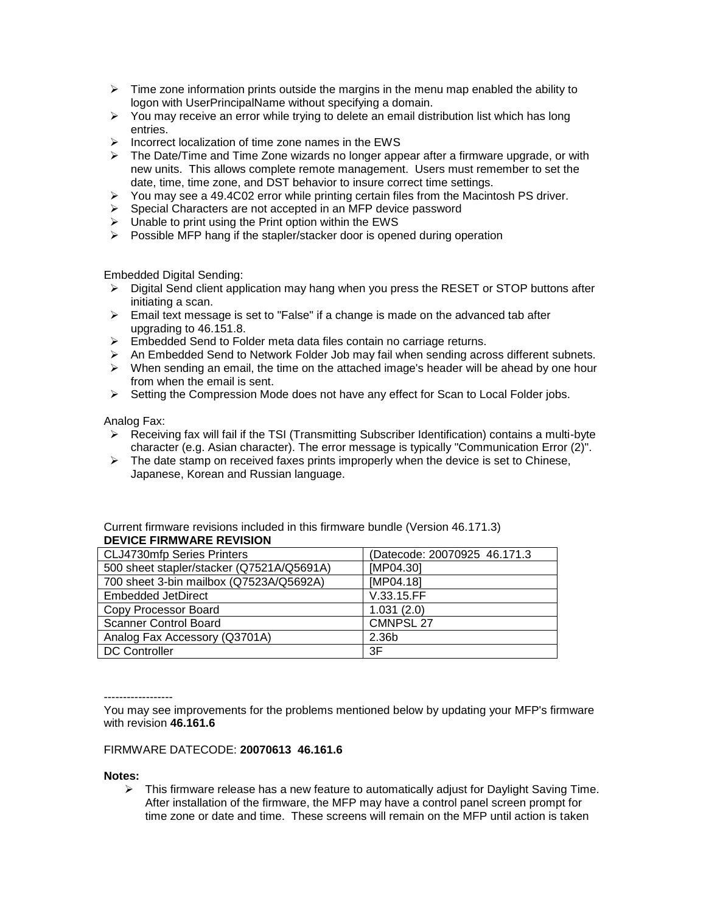- $\triangleright$  Time zone information prints outside the margins in the menu map enabled the ability to logon with UserPrincipalName without specifying a domain.
- $\triangleright$  You may receive an error while trying to delete an email distribution list which has long entries.
- $\triangleright$  Incorrect localization of time zone names in the EWS
- $\triangleright$  The Date/Time and Time Zone wizards no longer appear after a firmware upgrade, or with new units. This allows complete remote management. Users must remember to set the date, time, time zone, and DST behavior to insure correct time settings.
- $\triangleright$  You may see a 49.4C02 error while printing certain files from the Macintosh PS driver.
- $\triangleright$  Special Characters are not accepted in an MFP device password
- $\triangleright$  Unable to print using the Print option within the EWS
- $\triangleright$  Possible MFP hang if the stapler/stacker door is opened during operation

Embedded Digital Sending:

- $\triangleright$  Digital Send client application may hang when you press the RESET or STOP buttons after initiating a scan.
- $\triangleright$  Email text message is set to "False" if a change is made on the advanced tab after upgrading to 46.151.8.
- Embedded Send to Folder meta data files contain no carriage returns.
- > An Embedded Send to Network Folder Job may fail when sending across different subnets.
- $\triangleright$  When sending an email, the time on the attached image's header will be ahead by one hour from when the email is sent.
- $\triangleright$  Setting the Compression Mode does not have any effect for Scan to Local Folder jobs.

Analog Fax:

- $\triangleright$  Receiving fax will fail if the TSI (Transmitting Subscriber Identification) contains a multi-byte character (e.g. Asian character). The error message is typically "Communication Error (2)".
- $\triangleright$  The date stamp on received faxes prints improperly when the device is set to Chinese, Japanese, Korean and Russian language.

| <b>DEVICE FIRMWARE REVISION</b>           |                              |
|-------------------------------------------|------------------------------|
| CLJ4730mfp Series Printers                | (Datecode: 20070925 46.171.3 |
| 500 sheet stapler/stacker (Q7521A/Q5691A) | [MP04.30]                    |
| 700 sheet 3-bin mailbox (Q7523A/Q5692A)   | [MP04.18]                    |
|                                           |                              |

Current firmware revisions included in this firmware bundle (Version 46.171.3)

| 500 sheet stapler/stacker (Q/521A/Q5691A) | <b>IMP04.301</b> |
|-------------------------------------------|------------------|
| 700 sheet 3-bin mailbox (Q7523A/Q5692A)   | [MP04.18]        |
| <b>Embedded JetDirect</b>                 | V.33.15.FF       |
| Copy Processor Board                      | 1.031(2.0)       |
| <b>Scanner Control Board</b>              | <b>CMNPSL 27</b> |
| Analog Fax Accessory (Q3701A)             | 2.36b            |
| <b>DC Controller</b>                      | 3F               |

------------------

### FIRMWARE DATECODE: **20070613 46.161.6**

**Notes:**

 $\triangleright$  This firmware release has a new feature to automatically adjust for Daylight Saving Time. After installation of the firmware, the MFP may have a control panel screen prompt for time zone or date and time. These screens will remain on the MFP until action is taken

You may see improvements for the problems mentioned below by updating your MFP's firmware with revision **46.161.6**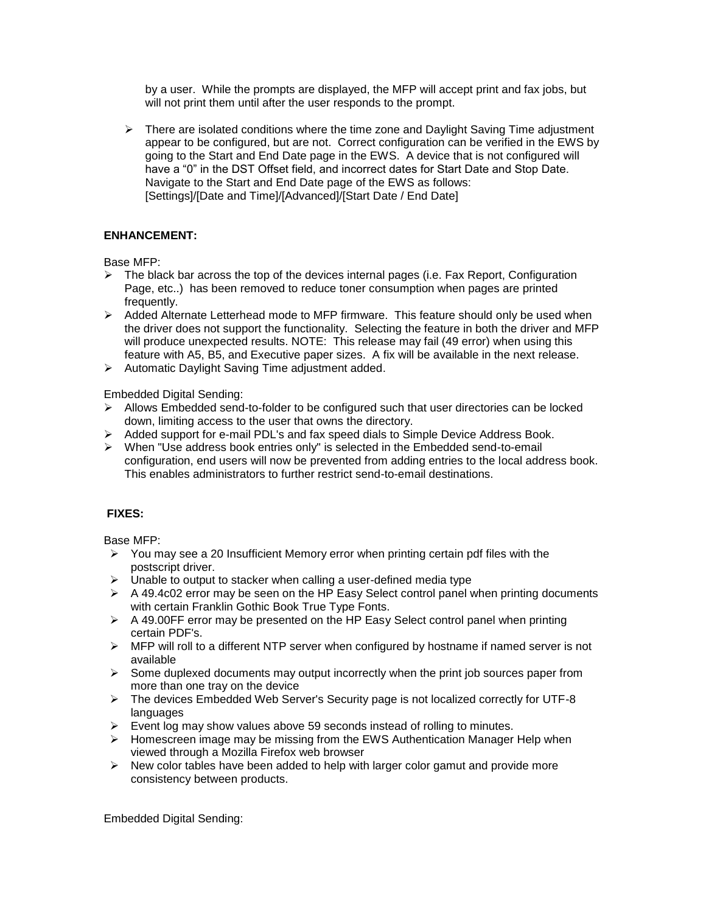by a user. While the prompts are displayed, the MFP will accept print and fax jobs, but will not print them until after the user responds to the prompt.

 $\triangleright$  There are isolated conditions where the time zone and Daylight Saving Time adjustment appear to be configured, but are not. Correct configuration can be verified in the EWS by going to the Start and End Date page in the EWS. A device that is not configured will have a "0" in the DST Offset field, and incorrect dates for Start Date and Stop Date. Navigate to the Start and End Date page of the EWS as follows: [Settings]/[Date and Time]/[Advanced]/[Start Date / End Date]

## **ENHANCEMENT:**

Base MFP:

- $\triangleright$  The black bar across the top of the devices internal pages (i.e. Fax Report, Configuration Page, etc..) has been removed to reduce toner consumption when pages are printed frequently.
- $\triangleright$  Added Alternate Letterhead mode to MFP firmware. This feature should only be used when the driver does not support the functionality. Selecting the feature in both the driver and MFP will produce unexpected results. NOTE: This release may fail (49 error) when using this feature with A5, B5, and Executive paper sizes. A fix will be available in the next release.
- Automatic Daylight Saving Time adjustment added.

Embedded Digital Sending:

- $\triangleright$  Allows Embedded send-to-folder to be configured such that user directories can be locked down, limiting access to the user that owns the directory.
- Added support for e-mail PDL's and fax speed dials to Simple Device Address Book.
- $\triangleright$  When "Use address book entries only" is selected in the Embedded send-to-email configuration, end users will now be prevented from adding entries to the local address book. This enables administrators to further restrict send-to-email destinations.

## **FIXES:**

Base MFP:

- $\triangleright$  You may see a 20 Insufficient Memory error when printing certain pdf files with the postscript driver.
- $\triangleright$  Unable to output to stacker when calling a user-defined media type
- $\triangleright$  A 49.4c02 error may be seen on the HP Easy Select control panel when printing documents with certain Franklin Gothic Book True Type Fonts.
- $\triangleright$  A 49.00FF error may be presented on the HP Easy Select control panel when printing certain PDF's.
- $\triangleright$  MFP will roll to a different NTP server when configured by hostname if named server is not available
- $\triangleright$  Some duplexed documents may output incorrectly when the print job sources paper from more than one tray on the device
- The devices Embedded Web Server's Security page is not localized correctly for UTF-8 languages
- $\triangleright$  Event log may show values above 59 seconds instead of rolling to minutes.
- $\triangleright$  Homescreen image may be missing from the EWS Authentication Manager Help when viewed through a Mozilla Firefox web browser
- $\triangleright$  New color tables have been added to help with larger color gamut and provide more consistency between products.

Embedded Digital Sending: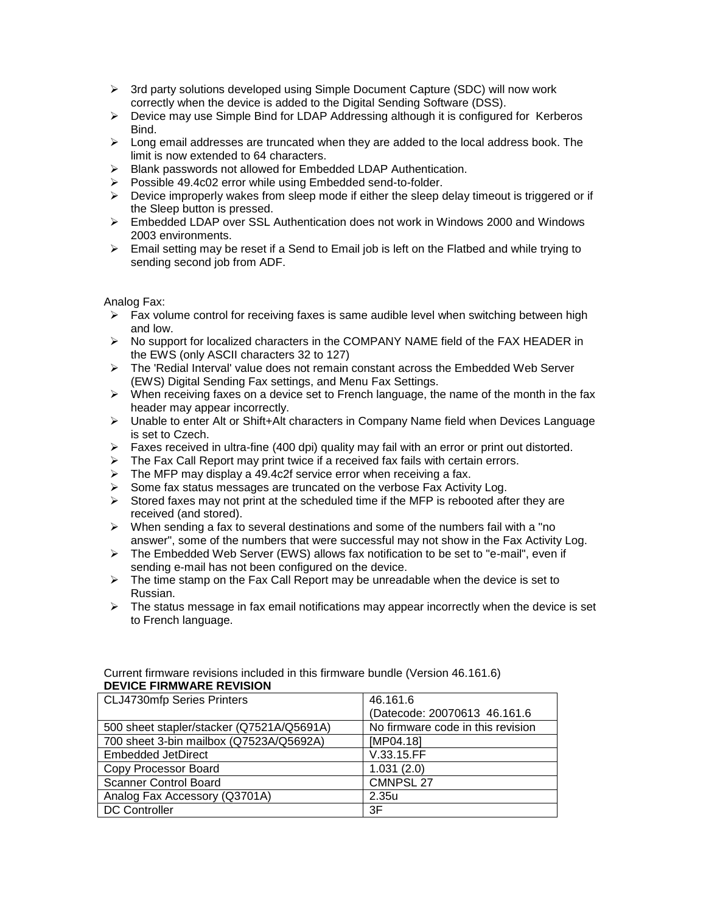- $\triangleright$  3rd party solutions developed using Simple Document Capture (SDC) will now work correctly when the device is added to the Digital Sending Software (DSS).
- $\triangleright$  Device may use Simple Bind for LDAP Addressing although it is configured for Kerberos **Bind.**
- $\triangleright$  Long email addresses are truncated when they are added to the local address book. The limit is now extended to 64 characters.
- $\triangleright$  Blank passwords not allowed for Embedded LDAP Authentication.
- Possible 49.4c02 error while using Embedded send-to-folder.
- $\triangleright$  Device improperly wakes from sleep mode if either the sleep delay timeout is triggered or if the Sleep button is pressed.
- $\triangleright$  Embedded LDAP over SSL Authentication does not work in Windows 2000 and Windows 2003 environments.
- $\triangleright$  Email setting may be reset if a Send to Email job is left on the Flatbed and while trying to sending second job from ADF.

Analog Fax:

- $\triangleright$  Fax volume control for receiving faxes is same audible level when switching between high and low.
- > No support for localized characters in the COMPANY NAME field of the FAX HEADER in the EWS (only ASCII characters 32 to 127)
- $\triangleright$  The 'Redial Interval' value does not remain constant across the Embedded Web Server (EWS) Digital Sending Fax settings, and Menu Fax Settings.
- $\triangleright$  When receiving faxes on a device set to French language, the name of the month in the fax header may appear incorrectly.
- $\triangleright$  Unable to enter Alt or Shift+Alt characters in Company Name field when Devices Language is set to Czech.
- $\triangleright$  Faxes received in ultra-fine (400 dpi) quality may fail with an error or print out distorted.
- $\triangleright$  The Fax Call Report may print twice if a received fax fails with certain errors.
- $\triangleright$  The MFP may display a 49.4c2f service error when receiving a fax.
- $\triangleright$  Some fax status messages are truncated on the verbose Fax Activity Log.
- $\triangleright$  Stored faxes may not print at the scheduled time if the MFP is rebooted after they are received (and stored).
- $\triangleright$  When sending a fax to several destinations and some of the numbers fail with a "no" answer", some of the numbers that were successful may not show in the Fax Activity Log.
- $\triangleright$  The Embedded Web Server (EWS) allows fax notification to be set to "e-mail", even if sending e-mail has not been configured on the device.
- $\triangleright$  The time stamp on the Fax Call Report may be unreadable when the device is set to Russian.
- $\triangleright$  The status message in fax email notifications may appear incorrectly when the device is set to French language.

| <u>DETIVE LINITIANE INETIVITI</u>         |                                   |
|-------------------------------------------|-----------------------------------|
| CLJ4730mfp Series Printers                | 46.161.6                          |
|                                           | (Datecode: 20070613 46.161.6      |
| 500 sheet stapler/stacker (Q7521A/Q5691A) | No firmware code in this revision |
| 700 sheet 3-bin mailbox (Q7523A/Q5692A)   | [MP04.18]                         |
| <b>Embedded JetDirect</b>                 | V.33.15.FF                        |
| Copy Processor Board                      | 1.031(2.0)                        |
| <b>Scanner Control Board</b>              | <b>CMNPSL 27</b>                  |
| Analog Fax Accessory (Q3701A)             | 2.35u                             |
| <b>DC Controller</b>                      | 3F                                |

#### Current firmware revisions included in this firmware bundle (Version 46.161.6) **DEVICE FIRMWARE REVISION**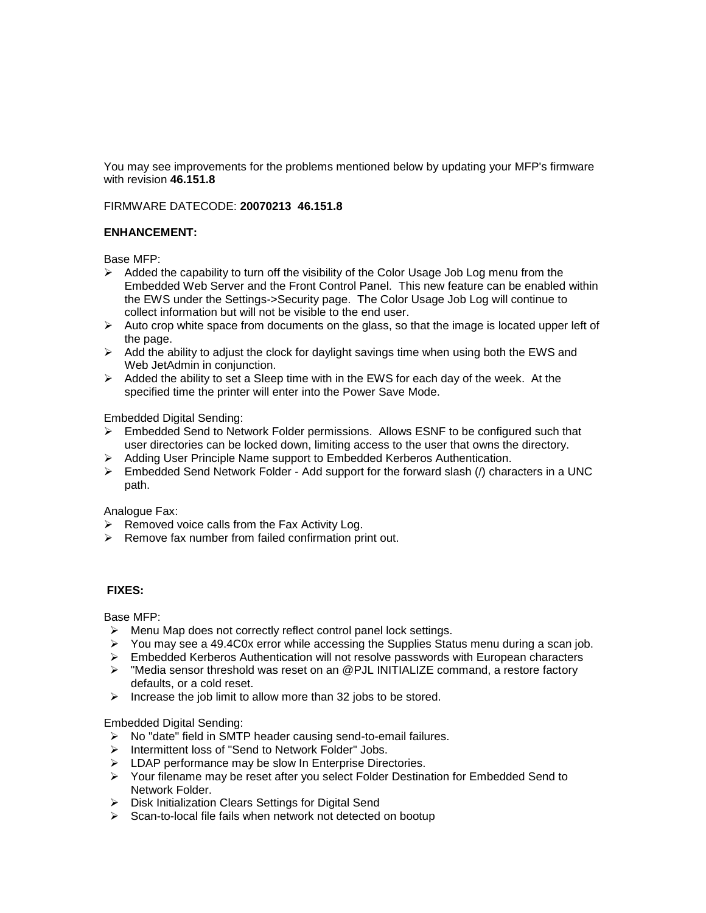You may see improvements for the problems mentioned below by updating your MFP's firmware with revision **46.151.8**

FIRMWARE DATECODE: **20070213 46.151.8**

## **ENHANCEMENT:**

Base MFP:

- Added the capability to turn off the visibility of the Color Usage Job Log menu from the Embedded Web Server and the Front Control Panel. This new feature can be enabled within the EWS under the Settings->Security page. The Color Usage Job Log will continue to collect information but will not be visible to the end user.
- $\triangleright$  Auto crop white space from documents on the glass, so that the image is located upper left of the page.
- $\triangleright$  Add the ability to adjust the clock for daylight savings time when using both the EWS and Web JetAdmin in conjunction.
- $\triangleright$  Added the ability to set a Sleep time with in the EWS for each day of the week. At the specified time the printer will enter into the Power Save Mode.

Embedded Digital Sending:

- $\triangleright$  Embedded Send to Network Folder permissions. Allows ESNF to be configured such that user directories can be locked down, limiting access to the user that owns the directory.
- Adding User Principle Name support to Embedded Kerberos Authentication.
- $\triangleright$  Embedded Send Network Folder Add support for the forward slash (/) characters in a UNC path.

Analogue Fax:

- $\triangleright$  Removed voice calls from the Fax Activity Log.
- $\triangleright$  Remove fax number from failed confirmation print out.

## **FIXES:**

Base MFP:

- $\triangleright$  Menu Map does not correctly reflect control panel lock settings.
- $\triangleright$  You may see a 49.4C0x error while accessing the Supplies Status menu during a scan job.
- $\triangleright$  Embedded Kerberos Authentication will not resolve passwords with European characters
- $\triangleright$  "Media sensor threshold was reset on an @PJL INITIALIZE command, a restore factory defaults, or a cold reset.
- $\triangleright$  Increase the job limit to allow more than 32 jobs to be stored.

Embedded Digital Sending:

- $\triangleright$  No "date" field in SMTP header causing send-to-email failures.
- > Intermittent loss of "Send to Network Folder" Jobs.
- $\triangleright$  LDAP performance may be slow In Enterprise Directories.
- $\triangleright$  Your filename may be reset after you select Folder Destination for Embedded Send to Network Folder.
- Disk Initialization Clears Settings for Digital Send
- $\triangleright$  Scan-to-local file fails when network not detected on bootup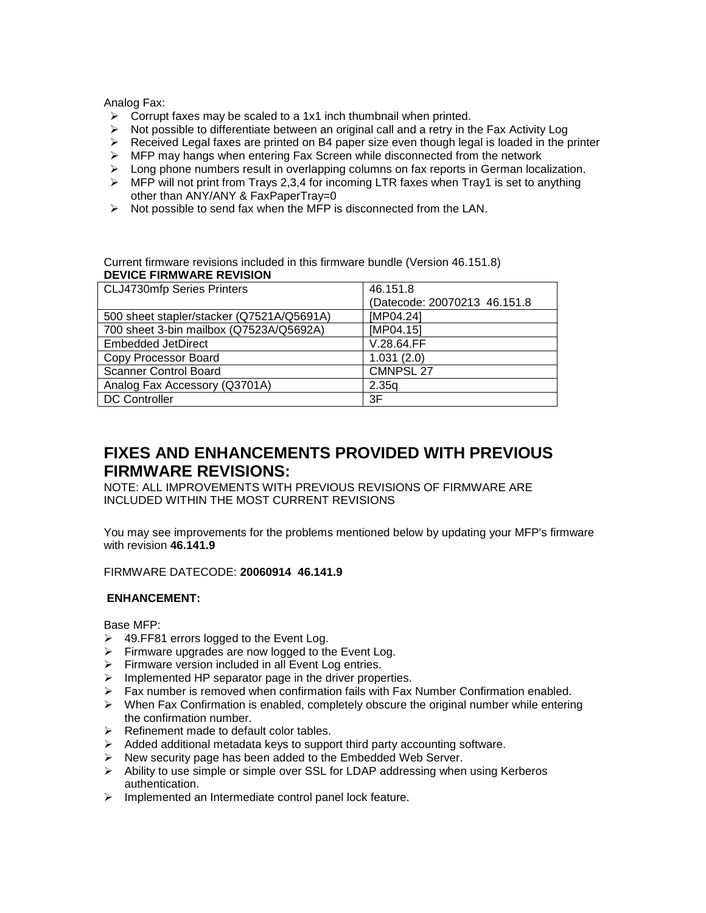#### Analog Fax:

- $\triangleright$  Corrupt faxes may be scaled to a 1x1 inch thumbnail when printed.
- $\triangleright$  Not possible to differentiate between an original call and a retry in the Fax Activity Log
- $\triangleright$  Received Legal faxes are printed on B4 paper size even though legal is loaded in the printer
- $\triangleright$  MFP may hangs when entering Fax Screen while disconnected from the network
- $\triangleright$  Long phone numbers result in overlapping columns on fax reports in German localization.
- $\triangleright$  MFP will not print from Trays 2,3,4 for incoming LTR faxes when Tray1 is set to anything other than ANY/ANY & FaxPaperTray=0
- $\triangleright$  Not possible to send fax when the MFP is disconnected from the LAN.

Current firmware revisions included in this firmware bundle (Version 46.151.8) **DEVICE FIRMWARE REVISION**

| CLJ4730mfp Series Printers                | 46.151.8                     |
|-------------------------------------------|------------------------------|
|                                           | (Datecode: 20070213 46.151.8 |
| 500 sheet stapler/stacker (Q7521A/Q5691A) | [MP04.24]                    |
| 700 sheet 3-bin mailbox (Q7523A/Q5692A)   | [MP04.15]                    |
| <b>Embedded JetDirect</b>                 | V.28.64.FF                   |
| Copy Processor Board                      | 1.031(2.0)                   |
| <b>Scanner Control Board</b>              | <b>CMNPSL 27</b>             |
| Analog Fax Accessory (Q3701A)             | 2.35 <sub>a</sub>            |
| <b>DC Controller</b>                      | 3F                           |

# **FIXES AND ENHANCEMENTS PROVIDED WITH PREVIOUS FIRMWARE REVISIONS:**

NOTE: ALL IMPROVEMENTS WITH PREVIOUS REVISIONS OF FIRMWARE ARE INCLUDED WITHIN THE MOST CURRENT REVISIONS

You may see improvements for the problems mentioned below by updating your MFP's firmware with revision **46.141.9**

FIRMWARE DATECODE: **20060914 46.141.9**

## **ENHANCEMENT:**

Base MFP:

- $\geq$  49.FF81 errors logged to the Event Log.
- $\triangleright$  Firmware upgrades are now logged to the Event Log.
- $\triangleright$  Firmware version included in all Event Log entries.
- $\triangleright$  Implemented HP separator page in the driver properties.
- $\triangleright$  Fax number is removed when confirmation fails with Fax Number Confirmation enabled.
- $\triangleright$  When Fax Confirmation is enabled, completely obscure the original number while entering the confirmation number.
- $\triangleright$  Refinement made to default color tables.
- $\triangleright$  Added additional metadata keys to support third party accounting software.
- $\triangleright$  New security page has been added to the Embedded Web Server.
- $\triangleright$  Ability to use simple or simple over SSL for LDAP addressing when using Kerberos authentication.
- $\triangleright$  Implemented an Intermediate control panel lock feature.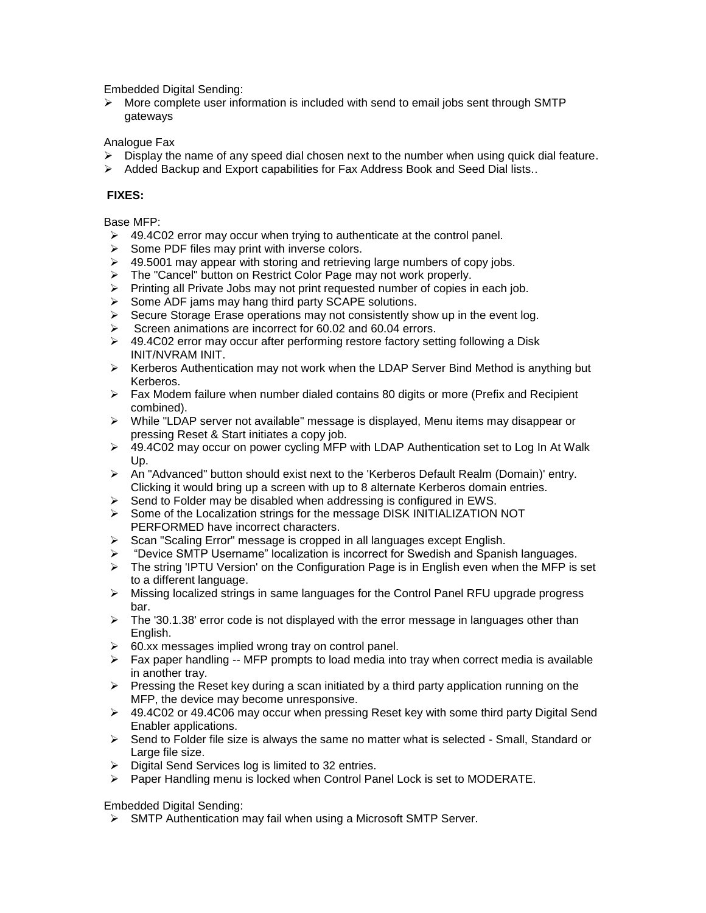Embedded Digital Sending:

 $\triangleright$  More complete user information is included with send to email jobs sent through SMTP gateways

Analogue Fax

- $\triangleright$  Display the name of any speed dial chosen next to the number when using quick dial feature.
- $\triangleright$  Added Backup and Export capabilities for Fax Address Book and Seed Dial lists..

### **FIXES:**

Base MFP:

- $\geq$  49.4C02 error may occur when trying to authenticate at the control panel.
- $\triangleright$  Some PDF files may print with inverse colors.
- $\geq$  49.5001 may appear with storing and retrieving large numbers of copy jobs.
- Five "Cancel" button on Restrict Color Page may not work properly.
- $\triangleright$  Printing all Private Jobs may not print requested number of copies in each job.
- $\triangleright$  Some ADF jams may hang third party SCAPE solutions.
- $\triangleright$  Secure Storage Erase operations may not consistently show up in the event log.
- $\triangleright$  Screen animations are incorrect for 60.02 and 60.04 errors.
- ▶ 49.4C02 error may occur after performing restore factory setting following a Disk INIT/NVRAM INIT.
- $\triangleright$  Kerberos Authentication may not work when the LDAP Server Bind Method is anything but Kerberos.
- $\triangleright$  Fax Modem failure when number dialed contains 80 digits or more (Prefix and Recipient combined).
- $\triangleright$  While "LDAP server not available" message is displayed, Menu items may disappear or pressing Reset & Start initiates a copy job.
- $\geq$  49.4C02 may occur on power cycling MFP with LDAP Authentication set to Log In At Walk Up.
- $\triangleright$  An "Advanced" button should exist next to the 'Kerberos Default Realm (Domain)' entry. Clicking it would bring up a screen with up to 8 alternate Kerberos domain entries.
- $\triangleright$  Send to Folder may be disabled when addressing is configured in EWS.
- $\triangleright$  Some of the Localization strings for the message DISK INITIALIZATION NOT PERFORMED have incorrect characters.
- $\triangleright$  Scan "Scaling Error" message is cropped in all languages except English.
- "Device SMTP Username" localization is incorrect for Swedish and Spanish languages.
- $\triangleright$  The string 'IPTU Version' on the Configuration Page is in English even when the MFP is set to a different language.
- $\triangleright$  Missing localized strings in same languages for the Control Panel RFU upgrade progress bar.
- $\triangleright$  The '30.1.38' error code is not displayed with the error message in languages other than English.
- $\geq$  60.xx messages implied wrong tray on control panel.
- $\triangleright$  Fax paper handling -- MFP prompts to load media into tray when correct media is available in another tray.
- $\triangleright$  Pressing the Reset key during a scan initiated by a third party application running on the MFP, the device may become unresponsive.
- $\geq$  49.4C02 or 49.4C06 may occur when pressing Reset key with some third party Digital Send Enabler applications.
- $\triangleright$  Send to Folder file size is always the same no matter what is selected Small, Standard or Large file size.
- $\triangleright$  Digital Send Services log is limited to 32 entries.
- $\triangleright$  Paper Handling menu is locked when Control Panel Lock is set to MODERATE.

Embedded Digital Sending:

 $\triangleright$  SMTP Authentication may fail when using a Microsoft SMTP Server.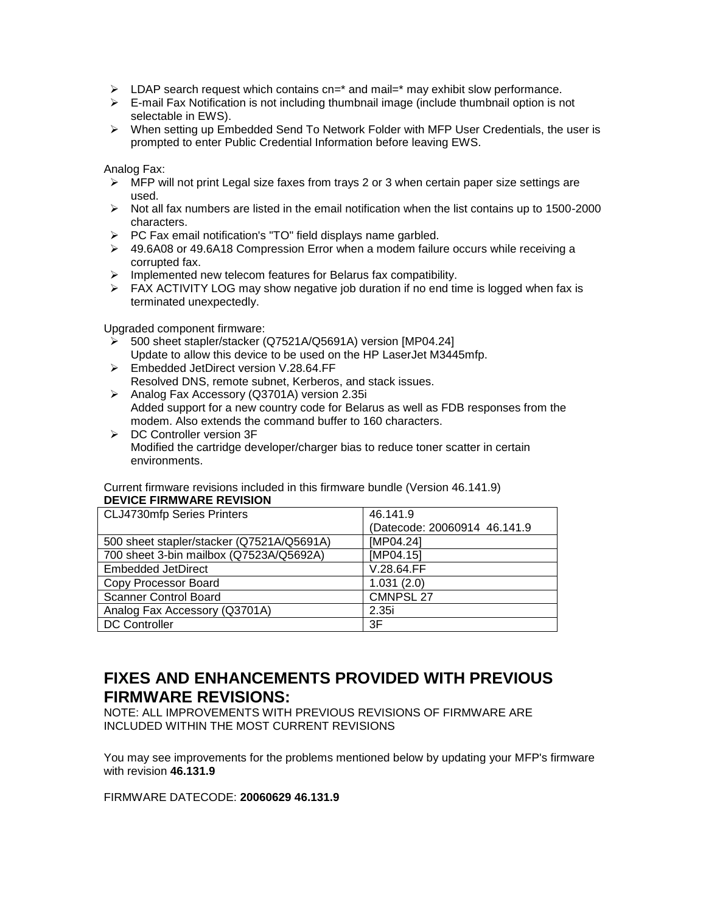- $\triangleright$  LDAP search request which contains cn=\* and mail=\* may exhibit slow performance.
- $\triangleright$  E-mail Fax Notification is not including thumbnail image (include thumbnail option is not selectable in EWS).
- When setting up Embedded Send To Network Folder with MFP User Credentials, the user is prompted to enter Public Credential Information before leaving EWS.

Analog Fax:

- $\triangleright$  MFP will not print Legal size faxes from trays 2 or 3 when certain paper size settings are used.
- $\triangleright$  Not all fax numbers are listed in the email notification when the list contains up to 1500-2000 characters.
- $\triangleright$  PC Fax email notification's "TO" field displays name garbled.
- $\geq$  49.6A08 or 49.6A18 Compression Error when a modem failure occurs while receiving a corrupted fax.
- $\triangleright$  Implemented new telecom features for Belarus fax compatibility.
- $\triangleright$  FAX ACTIVITY LOG may show negative job duration if no end time is logged when fax is terminated unexpectedly.

Upgraded component firmware:

- 500 sheet stapler/stacker (Q7521A/Q5691A) version [MP04.24] Update to allow this device to be used on the HP LaserJet M3445mfp.
- Embedded JetDirect version V.28.64.FF Resolved DNS, remote subnet, Kerberos, and stack issues.
- Analog Fax Accessory (Q3701A) version 2.35i Added support for a new country code for Belarus as well as FDB responses from the modem. Also extends the command buffer to 160 characters.
- **▶ DC Controller version 3F** Modified the cartridge developer/charger bias to reduce toner scatter in certain environments.

### Current firmware revisions included in this firmware bundle (Version 46.141.9) **DEVICE FIRMWARE REVISION**

| CLJ4730mfp Series Printers                | 46.141.9                     |
|-------------------------------------------|------------------------------|
|                                           | (Datecode: 20060914 46.141.9 |
| 500 sheet stapler/stacker (Q7521A/Q5691A) | [MP04.24]                    |
| 700 sheet 3-bin mailbox (Q7523A/Q5692A)   | [MP04.15]                    |
| <b>Embedded JetDirect</b>                 | V.28.64.FF                   |
| Copy Processor Board                      | 1.031(2.0)                   |
| <b>Scanner Control Board</b>              | <b>CMNPSL 27</b>             |
| Analog Fax Accessory (Q3701A)             | 2.35i                        |
| <b>DC Controller</b>                      | 3F                           |

# **FIXES AND ENHANCEMENTS PROVIDED WITH PREVIOUS FIRMWARE REVISIONS:**

NOTE: ALL IMPROVEMENTS WITH PREVIOUS REVISIONS OF FIRMWARE ARE INCLUDED WITHIN THE MOST CURRENT REVISIONS

You may see improvements for the problems mentioned below by updating your MFP's firmware with revision **46.131.9**

FIRMWARE DATECODE: **20060629 46.131.9**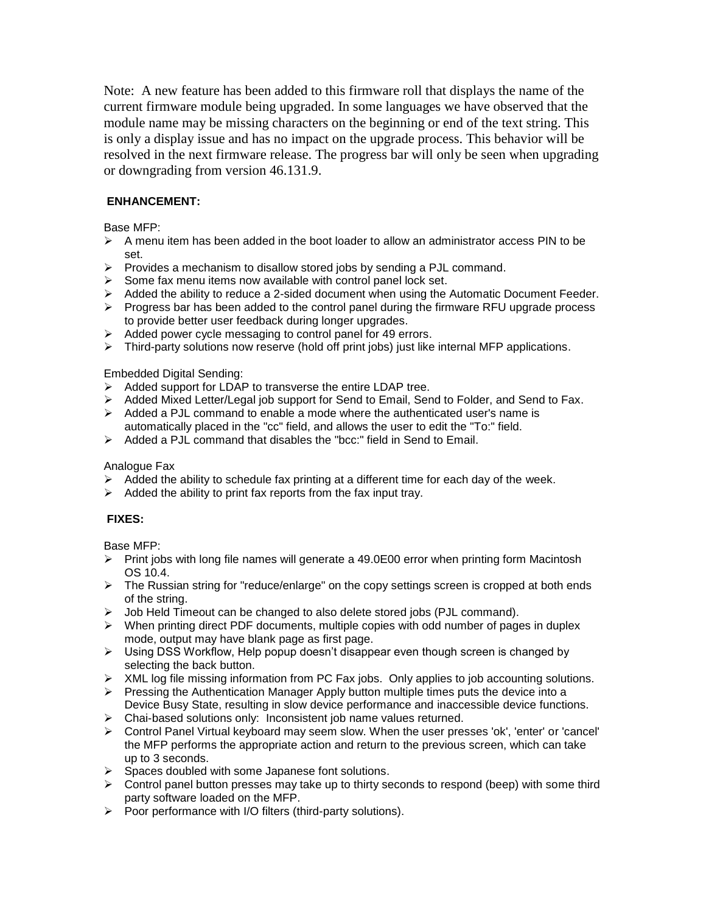Note: A new feature has been added to this firmware roll that displays the name of the current firmware module being upgraded. In some languages we have observed that the module name may be missing characters on the beginning or end of the text string. This is only a display issue and has no impact on the upgrade process. This behavior will be resolved in the next firmware release. The progress bar will only be seen when upgrading or downgrading from version 46.131.9.

## **ENHANCEMENT:**

Base MFP:

- $\triangleright$  A menu item has been added in the boot loader to allow an administrator access PIN to be set.
- $\triangleright$  Provides a mechanism to disallow stored jobs by sending a PJL command.
- Some fax menu items now available with control panel lock set.
- $\triangleright$  Added the ability to reduce a 2-sided document when using the Automatic Document Feeder.
- $\triangleright$  Progress bar has been added to the control panel during the firmware RFU upgrade process to provide better user feedback during longer upgrades.
- $\triangleright$  Added power cycle messaging to control panel for 49 errors.
- > Third-party solutions now reserve (hold off print jobs) just like internal MFP applications.

Embedded Digital Sending:

- $\triangleright$  Added support for LDAP to transverse the entire LDAP tree.
- $\triangleright$  Added Mixed Letter/Legal job support for Send to Email, Send to Folder, and Send to Fax.
- $\triangleright$  Added a PJL command to enable a mode where the authenticated user's name is automatically placed in the "cc" field, and allows the user to edit the "To:" field.
- $\triangleright$  Added a PJL command that disables the "bcc:" field in Send to Email.

Analogue Fax

- $\triangleright$  Added the ability to schedule fax printing at a different time for each day of the week.
- $\triangleright$  Added the ability to print fax reports from the fax input tray.

## **FIXES:**

Base MFP:

- $\triangleright$  Print jobs with long file names will generate a 49.0E00 error when printing form Macintosh OS 10.4.
- $\triangleright$  The Russian string for "reduce/enlarge" on the copy settings screen is cropped at both ends of the string.
- $\triangleright$  Job Held Timeout can be changed to also delete stored jobs (PJL command).
- When printing direct PDF documents, multiple copies with odd number of pages in duplex mode, output may have blank page as first page.
- $\triangleright$  Using DSS Workflow, Help popup doesn't disappear even though screen is changed by selecting the back button.
- $\triangleright$  XML log file missing information from PC Fax jobs. Only applies to job accounting solutions.
- $\triangleright$  Pressing the Authentication Manager Apply button multiple times puts the device into a Device Busy State, resulting in slow device performance and inaccessible device functions.
- $\triangleright$  Chai-based solutions only: Inconsistent job name values returned.
- Control Panel Virtual keyboard may seem slow. When the user presses 'ok', 'enter' or 'cancel' the MFP performs the appropriate action and return to the previous screen, which can take up to 3 seconds.
- $\triangleright$  Spaces doubled with some Japanese font solutions.
- $\triangleright$  Control panel button presses may take up to thirty seconds to respond (beep) with some third party software loaded on the MFP.
- $\triangleright$  Poor performance with I/O filters (third-party solutions).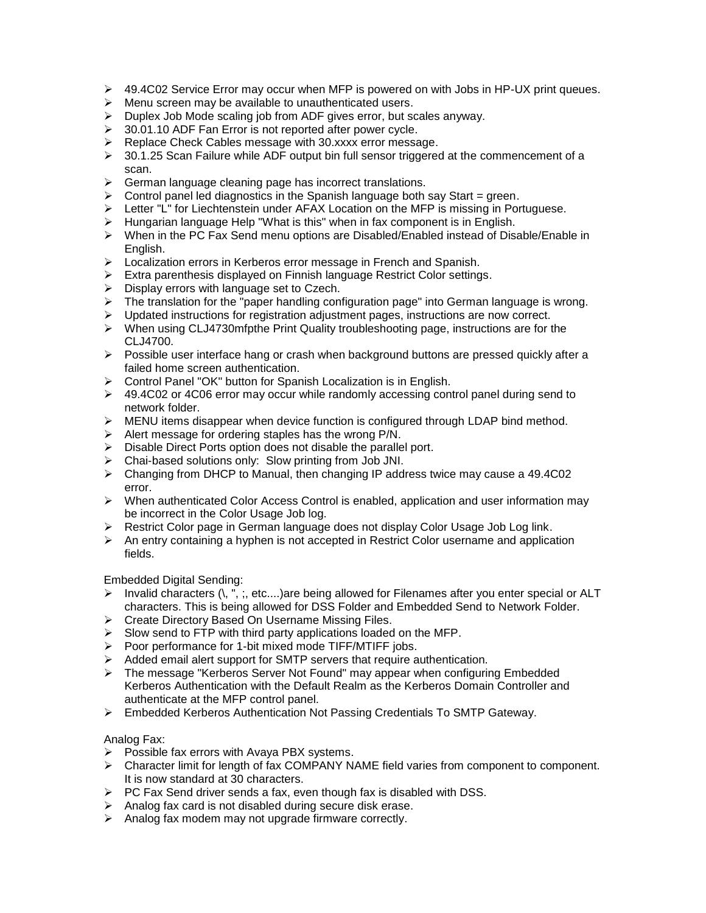- $\triangleright$  49.4C02 Service Error may occur when MFP is powered on with Jobs in HP-UX print queues.
- $\triangleright$  Menu screen may be available to unauthenticated users.
- > Duplex Job Mode scaling job from ADF gives error, but scales anyway.
- $\geq$  30.01.10 ADF Fan Error is not reported after power cycle.
- ▶ Replace Check Cables message with 30.xxxx error message.
- $\geq$  30.1.25 Scan Failure while ADF output bin full sensor triggered at the commencement of a scan.
- $\triangleright$  German language cleaning page has incorrect translations.
- $\triangleright$  Control panel led diagnostics in the Spanish language both say Start = green.
- Letter "L" for Liechtenstein under AFAX Location on the MFP is missing in Portuguese.
- $\triangleright$  Hungarian language Help "What is this" when in fax component is in English.
- $\triangleright$  When in the PC Fax Send menu options are Disabled/Enabled instead of Disable/Enable in English.
- Executization errors in Kerberos error message in French and Spanish.
- Extra parenthesis displayed on Finnish language Restrict Color settings.
- $\triangleright$  Display errors with language set to Czech.
- $\triangleright$  The translation for the "paper handling configuration page" into German language is wrong.
- $\triangleright$  Updated instructions for registration adjustment pages, instructions are now correct.
- $\triangleright$  When using CLJ4730mfpthe Print Quality troubleshooting page, instructions are for the CLJ4700.
- Possible user interface hang or crash when background buttons are pressed quickly after a failed home screen authentication.
- Control Panel "OK" button for Spanish Localization is in English.
- 49.4C02 or 4C06 error may occur while randomly accessing control panel during send to network folder.
- $\triangleright$  MENU items disappear when device function is configured through LDAP bind method.
- $\triangleright$  Alert message for ordering staples has the wrong P/N.
- $\triangleright$  Disable Direct Ports option does not disable the parallel port.
- Chai-based solutions only: Slow printing from Job JNI.
- $\triangleright$  Changing from DHCP to Manual, then changing IP address twice may cause a 49.4C02 error.
- $\triangleright$  When authenticated Color Access Control is enabled, application and user information may be incorrect in the Color Usage Job log.
- ▶ Restrict Color page in German language does not display Color Usage Job Log link.
- $\triangleright$  An entry containing a hyphen is not accepted in Restrict Color username and application fields.

Embedded Digital Sending:

- > Invalid characters  $(\nabla, \vec{r}, \vec{r})$ , etc....)are being allowed for Filenames after you enter special or ALT characters. This is being allowed for DSS Folder and Embedded Send to Network Folder.
- ▶ Create Directory Based On Username Missing Files.
- $\triangleright$  Slow send to FTP with third party applications loaded on the MFP.
- $\triangleright$  Poor performance for 1-bit mixed mode TIFF/MTIFF jobs.
- $\triangleright$  Added email alert support for SMTP servers that require authentication.
- $\triangleright$  The message "Kerberos Server Not Found" may appear when configuring Embedded Kerberos Authentication with the Default Realm as the Kerberos Domain Controller and authenticate at the MFP control panel.
- Embedded Kerberos Authentication Not Passing Credentials To SMTP Gateway.

- $\triangleright$  Possible fax errors with Avaya PBX systems.
- $\triangleright$  Character limit for length of fax COMPANY NAME field varies from component to component. It is now standard at 30 characters.
- $\triangleright$  PC Fax Send driver sends a fax, even though fax is disabled with DSS.
- $\triangleright$  Analog fax card is not disabled during secure disk erase.
- $\triangleright$  Analog fax modem may not upgrade firmware correctly.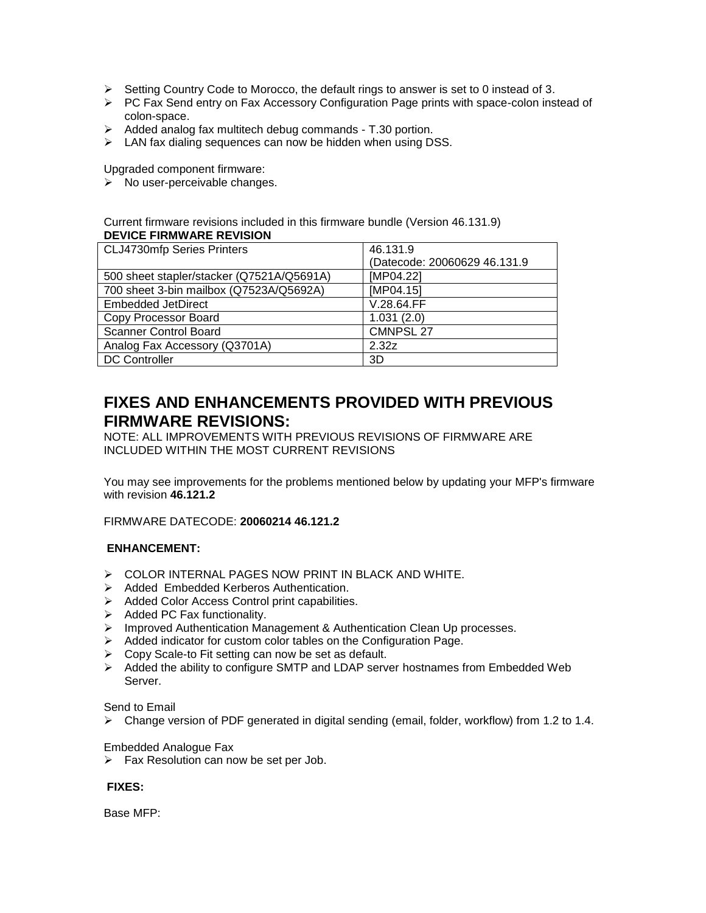- $\triangleright$  Setting Country Code to Morocco, the default rings to answer is set to 0 instead of 3.
- PC Fax Send entry on Fax Accessory Configuration Page prints with space-colon instead of colon-space.
- $\triangleright$  Added analog fax multitech debug commands T.30 portion.
- $\triangleright$  LAN fax dialing sequences can now be hidden when using DSS.

Upgraded component firmware:

 $\triangleright$  No user-perceivable changes.

#### Current firmware revisions included in this firmware bundle (Version 46.131.9) **DEVICE FIRMWARE REVISION**

| <b>CLJ4730mfp Series Printers</b>         | 46.131.9                      |
|-------------------------------------------|-------------------------------|
|                                           | (Datecode: 20060629 46.131.9) |
| 500 sheet stapler/stacker (Q7521A/Q5691A) | [MP04.22]                     |
| 700 sheet 3-bin mailbox (Q7523A/Q5692A)   | [MP04.15]                     |
| <b>Embedded JetDirect</b>                 | V.28.64.FF                    |
| Copy Processor Board                      | 1.031(2.0)                    |
| <b>Scanner Control Board</b>              | <b>CMNPSL 27</b>              |
| Analog Fax Accessory (Q3701A)             | 2.327                         |
| <b>DC Controller</b>                      | 3D                            |

# **FIXES AND ENHANCEMENTS PROVIDED WITH PREVIOUS FIRMWARE REVISIONS:**

NOTE: ALL IMPROVEMENTS WITH PREVIOUS REVISIONS OF FIRMWARE ARE INCLUDED WITHIN THE MOST CURRENT REVISIONS

You may see improvements for the problems mentioned below by updating your MFP's firmware with revision **46.121.2**

FIRMWARE DATECODE: **20060214 46.121.2**

#### **ENHANCEMENT:**

- COLOR INTERNAL PAGES NOW PRINT IN BLACK AND WHITE.
- $\triangleright$  Added Embedded Kerberos Authentication.
- $\triangleright$  Added Color Access Control print capabilities.
- $\triangleright$  Added PC Fax functionality.
- > Improved Authentication Management & Authentication Clean Up processes.
- $\triangleright$  Added indicator for custom color tables on the Configuration Page.
- $\triangleright$  Copy Scale-to Fit setting can now be set as default.
- $\triangleright$  Added the ability to configure SMTP and LDAP server hostnames from Embedded Web Server.

Send to Email

 $\triangleright$  Change version of PDF generated in digital sending (email, folder, workflow) from 1.2 to 1.4.

Embedded Analogue Fax

 $\triangleright$  Fax Resolution can now be set per Job.

## **FIXES:**

Base MFP: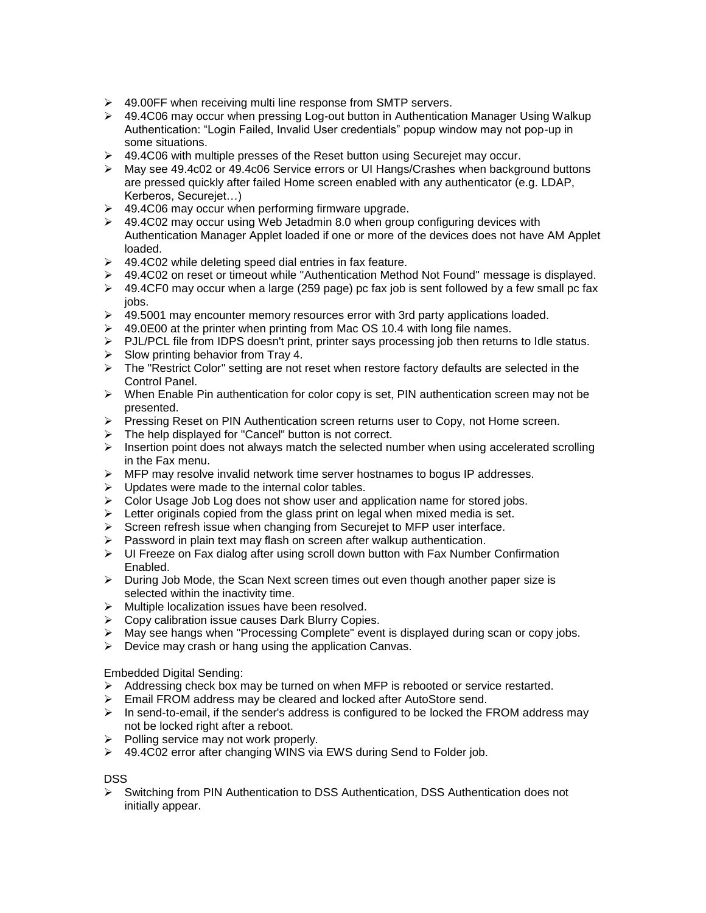- $\geq$  49.00FF when receiving multi line response from SMTP servers.
- **► 49.4C06 may occur when pressing Log-out button in Authentication Manager Using Walkup** Authentication: "Login Failed, Invalid User credentials" popup window may not pop-up in some situations.
- $\triangleright$  49.4C06 with multiple presses of the Reset button using Securejet may occur.
- May see 49.4c02 or 49.4c06 Service errors or UI Hangs/Crashes when background buttons are pressed quickly after failed Home screen enabled with any authenticator (e.g. LDAP, Kerberos, Securejet…)
- $\geq$  49.4C06 may occur when performing firmware upgrade.
- $\triangleright$  49.4C02 may occur using Web Jetadmin 8.0 when group configuring devices with Authentication Manager Applet loaded if one or more of the devices does not have AM Applet loaded.
- $\geq$  49.4C02 while deleting speed dial entries in fax feature.
- $\triangleright$  49.4C02 on reset or timeout while "Authentication Method Not Found" message is displayed.
- $\geq$  49.4CF0 may occur when a large (259 page) pc fax job is sent followed by a few small pc fax jobs.
- ▶ 49.5001 may encounter memory resources error with 3rd party applications loaded.
- > 49.0E00 at the printer when printing from Mac OS 10.4 with long file names.
- $\triangleright$  PJL/PCL file from IDPS doesn't print, printer says processing job then returns to Idle status.
- $\triangleright$  Slow printing behavior from Tray 4.
- $\triangleright$  The "Restrict Color" setting are not reset when restore factory defaults are selected in the Control Panel.
- $\triangleright$  When Enable Pin authentication for color copy is set, PIN authentication screen may not be presented.
- $\triangleright$  Pressing Reset on PIN Authentication screen returns user to Copy, not Home screen.
- > The help displayed for "Cancel" button is not correct.
- $\triangleright$  Insertion point does not always match the selected number when using accelerated scrolling in the Fax menu.
- > MFP may resolve invalid network time server hostnames to bogus IP addresses.
- $\triangleright$  Updates were made to the internal color tables.
- ▶ Color Usage Job Log does not show user and application name for stored jobs.
- $\triangleright$  Letter originals copied from the glass print on legal when mixed media is set.
- $\triangleright$  Screen refresh issue when changing from Securejet to MFP user interface.
- $\triangleright$  Password in plain text may flash on screen after walkup authentication.
- $\triangleright$  UI Freeze on Fax dialog after using scroll down button with Fax Number Confirmation Enabled.
- $\triangleright$  During Job Mode, the Scan Next screen times out even though another paper size is selected within the inactivity time.
- $\triangleright$  Multiple localization issues have been resolved.
- $\triangleright$  Copy calibration issue causes Dark Blurry Copies.
- May see hangs when "Processing Complete" event is displayed during scan or copy jobs.
- $\triangleright$  Device may crash or hang using the application Canvas.

Embedded Digital Sending:

- $\triangleright$  Addressing check box may be turned on when MFP is rebooted or service restarted.
- $\triangleright$  Email FROM address may be cleared and locked after AutoStore send.
- $\triangleright$  In send-to-email, if the sender's address is configured to be locked the FROM address may not be locked right after a reboot.
- $\triangleright$  Polling service may not work properly.
- ▶ 49.4C02 error after changing WINS via EWS during Send to Folder job.

DSS

 $\triangleright$  Switching from PIN Authentication to DSS Authentication, DSS Authentication does not initially appear.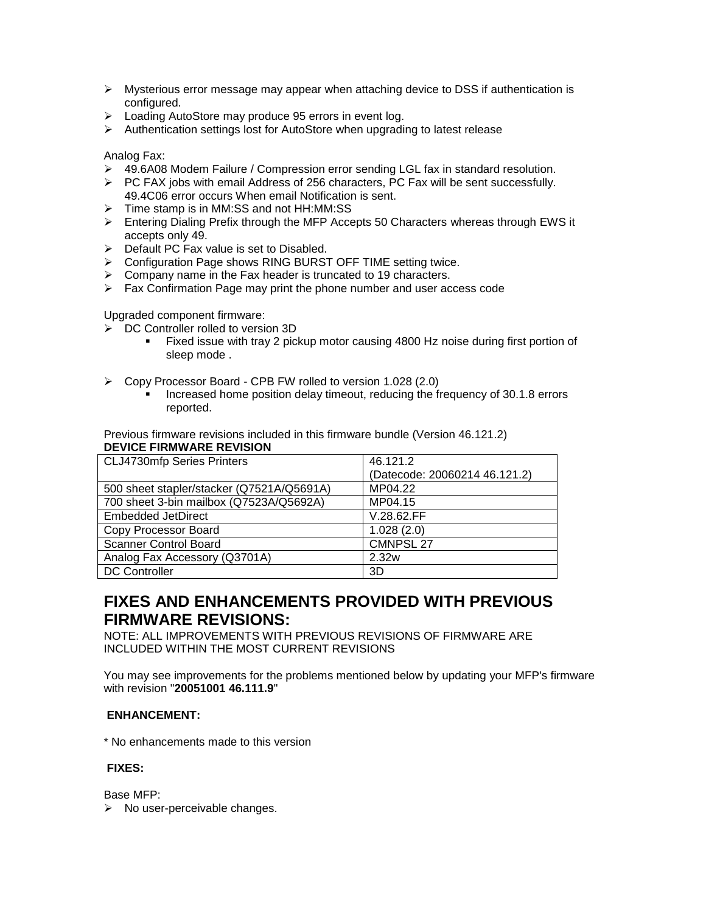- $\triangleright$  Mysterious error message may appear when attaching device to DSS if authentication is configured.
- Loading AutoStore may produce 95 errors in event log.
- $\triangleright$  Authentication settings lost for AutoStore when upgrading to latest release

Analog Fax:

- $\geq$  49.6A08 Modem Failure / Compression error sending LGL fax in standard resolution.
- $\triangleright$  PC FAX jobs with email Address of 256 characters, PC Fax will be sent successfully. 49.4C06 error occurs When email Notification is sent.
- > Time stamp is in MM:SS and not HH:MM:SS
- Entering Dialing Prefix through the MFP Accepts 50 Characters whereas through EWS it accepts only 49.
- $\triangleright$  Default PC Fax value is set to Disabled.
- Configuration Page shows RING BURST OFF TIME setting twice.
- $\triangleright$  Company name in the Fax header is truncated to 19 characters.
- $\triangleright$  Fax Confirmation Page may print the phone number and user access code

Upgraded component firmware:

- **▶ DC Controller rolled to version 3D** 
	- **Fixed issue with tray 2 pickup motor causing 4800 Hz noise during first portion of** sleep mode .

Copy Processor Board - CPB FW rolled to version 1.028 (2.0)

 Increased home position delay timeout, reducing the frequency of 30.1.8 errors reported.

Previous firmware revisions included in this firmware bundle (Version 46.121.2) **DEVICE FIRMWARE REVISION**

| <b>CLJ4730mfp Series Printers</b>         | 46.121.2                      |
|-------------------------------------------|-------------------------------|
|                                           | (Datecode: 20060214 46.121.2) |
| 500 sheet stapler/stacker (Q7521A/Q5691A) | MP04.22                       |
| 700 sheet 3-bin mailbox (Q7523A/Q5692A)   | MP04.15                       |
| <b>Embedded JetDirect</b>                 | V.28.62.FF                    |
| Copy Processor Board                      | 1.028(2.0)                    |
| <b>Scanner Control Board</b>              | <b>CMNPSL 27</b>              |
| Analog Fax Accessory (Q3701A)             | 2.32w                         |
| <b>DC Controller</b>                      | 3D                            |

# **FIXES AND ENHANCEMENTS PROVIDED WITH PREVIOUS FIRMWARE REVISIONS:**

NOTE: ALL IMPROVEMENTS WITH PREVIOUS REVISIONS OF FIRMWARE ARE INCLUDED WITHIN THE MOST CURRENT REVISIONS

You may see improvements for the problems mentioned below by updating your MFP's firmware with revision "**20051001 46.111.9**"

## **ENHANCEMENT:**

\* No enhancements made to this version

#### **FIXES:**

Base MFP:  $\triangleright$  No user-perceivable changes.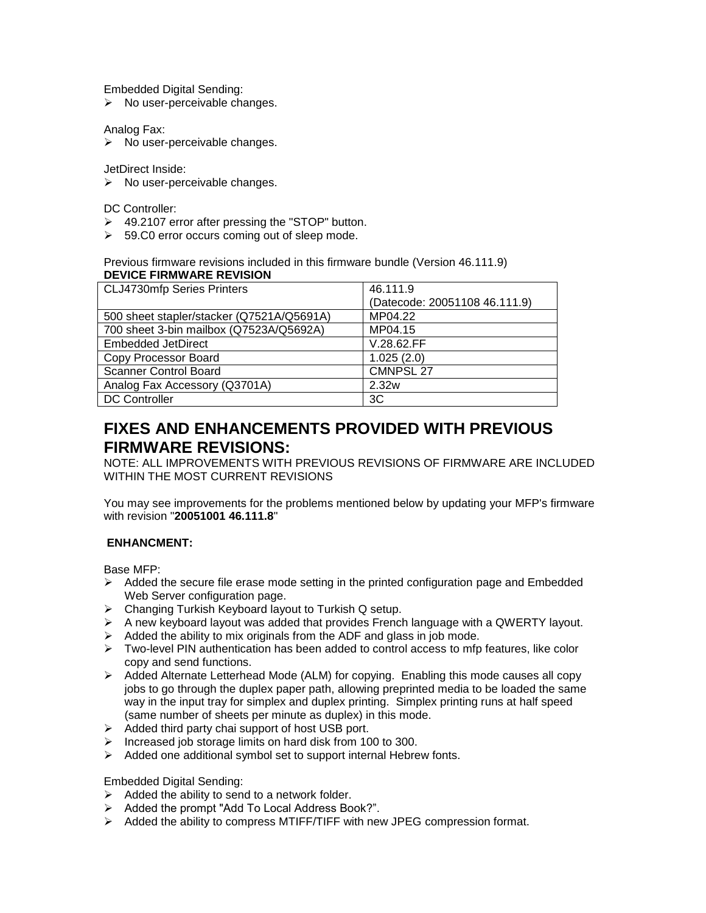Embedded Digital Sending:

 $\triangleright$  No user-perceivable changes.

Analog Fax:

 $\triangleright$  No user-perceivable changes.

JetDirect Inside:

 $\triangleright$  No user-perceivable changes.

DC Controller:

- 49.2107 error after pressing the "STOP" button.
- $\geq$  59.C0 error occurs coming out of sleep mode.

#### Previous firmware revisions included in this firmware bundle (Version 46.111.9) **DEVICE FIRMWARE REVISION**

| <b>CLJ4730mfp Series Printers</b>         | 46.111.9                      |
|-------------------------------------------|-------------------------------|
|                                           | (Datecode: 20051108 46.111.9) |
| 500 sheet stapler/stacker (Q7521A/Q5691A) | MP04.22                       |
| 700 sheet 3-bin mailbox (Q7523A/Q5692A)   | MP04.15                       |
| <b>Embedded JetDirect</b>                 | V.28.62.FF                    |
| Copy Processor Board                      | 1.025(2.0)                    |
| <b>Scanner Control Board</b>              | <b>CMNPSL 27</b>              |
| Analog Fax Accessory (Q3701A)             | 2.32w                         |
| <b>DC Controller</b>                      | ЗC                            |

# **FIXES AND ENHANCEMENTS PROVIDED WITH PREVIOUS FIRMWARE REVISIONS:**

NOTE: ALL IMPROVEMENTS WITH PREVIOUS REVISIONS OF FIRMWARE ARE INCLUDED WITHIN THE MOST CURRENT REVISIONS

You may see improvements for the problems mentioned below by updating your MFP's firmware with revision "**20051001 46.111.8**"

## **ENHANCMENT:**

Base MFP:

- $\triangleright$  Added the secure file erase mode setting in the printed configuration page and Embedded Web Server configuration page.
- Changing Turkish Keyboard layout to Turkish Q setup.
- $\triangleright$  A new keyboard layout was added that provides French language with a QWERTY layout.
- $\triangleright$  Added the ability to mix originals from the ADF and glass in job mode.
- Two-level PIN authentication has been added to control access to mfp features, like color copy and send functions.
- $\triangleright$  Added Alternate Letterhead Mode (ALM) for copying. Enabling this mode causes all copy jobs to go through the duplex paper path, allowing preprinted media to be loaded the same way in the input tray for simplex and duplex printing. Simplex printing runs at half speed (same number of sheets per minute as duplex) in this mode.
- $\triangleright$  Added third party chai support of host USB port.
- $\triangleright$  Increased job storage limits on hard disk from 100 to 300.
- $\triangleright$  Added one additional symbol set to support internal Hebrew fonts.

Embedded Digital Sending:

- $\triangleright$  Added the ability to send to a network folder.
- Added the prompt "Add To Local Address Book?".
- $\triangleright$  Added the ability to compress MTIFF/TIFF with new JPEG compression format.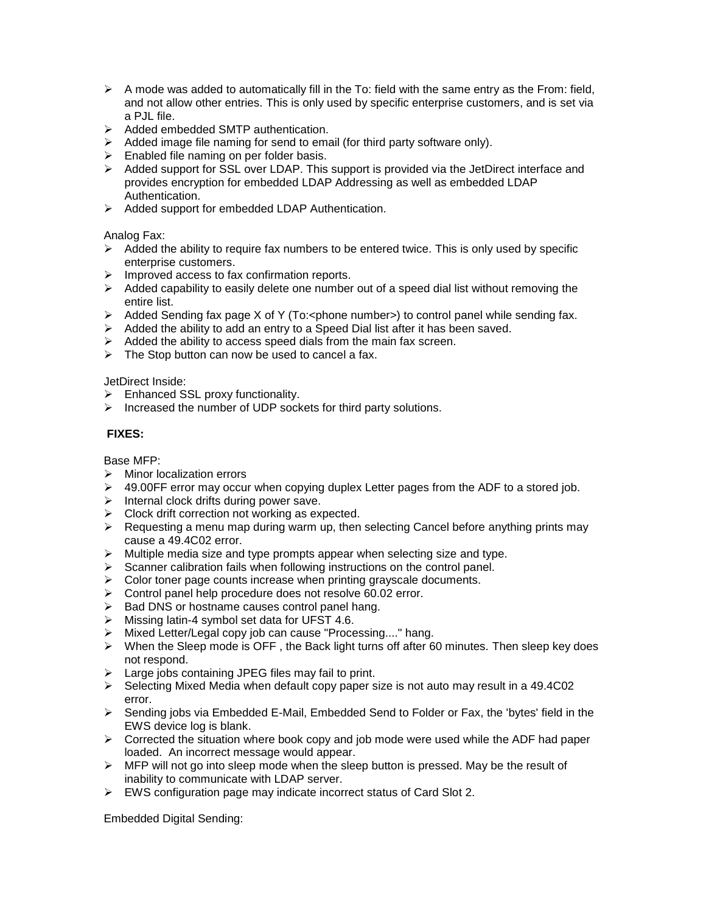- $\triangleright$  A mode was added to automatically fill in the To: field with the same entry as the From: field, and not allow other entries. This is only used by specific enterprise customers, and is set via a PJL file.
- $\triangleright$  Added embedded SMTP authentication.
- $\triangleright$  Added image file naming for send to email (for third party software only).
- $\triangleright$  Enabled file naming on per folder basis.
- $\triangleright$  Added support for SSL over LDAP. This support is provided via the JetDirect interface and provides encryption for embedded LDAP Addressing as well as embedded LDAP Authentication.
- $\triangleright$  Added support for embedded LDAP Authentication.

## Analog Fax:

- $\triangleright$  Added the ability to require fax numbers to be entered twice. This is only used by specific enterprise customers.
- $\triangleright$  Improved access to fax confirmation reports.
- $\triangleright$  Added capability to easily delete one number out of a speed dial list without removing the entire list.
- $\triangleright$  Added Sending fax page X of Y (To:<phone number>) to control panel while sending fax.
- $\triangleright$  Added the ability to add an entry to a Speed Dial list after it has been saved.
- $\triangleright$  Added the ability to access speed dials from the main fax screen.
- $\triangleright$  The Stop button can now be used to cancel a fax.

JetDirect Inside:

- $\triangleright$  Enhanced SSL proxy functionality.
- $\triangleright$  Increased the number of UDP sockets for third party solutions.

## **FIXES:**

Base MFP:

- $\triangleright$  Minor localization errors
- $\triangleright$  49.00FF error may occur when copying duplex Letter pages from the ADF to a stored job.
- $\triangleright$  Internal clock drifts during power save.
- $\triangleright$  Clock drift correction not working as expected.
- $\triangleright$  Requesting a menu map during warm up, then selecting Cancel before anything prints may cause a 49.4C02 error.
- $\triangleright$  Multiple media size and type prompts appear when selecting size and type.
- $\triangleright$  Scanner calibration fails when following instructions on the control panel.
- $\triangleright$  Color toner page counts increase when printing grayscale documents.
- $\triangleright$  Control panel help procedure does not resolve 60.02 error.
- $\triangleright$  Bad DNS or hostname causes control panel hang.
- $\triangleright$  Missing latin-4 symbol set data for UFST 4.6.
- Mixed Letter/Legal copy job can cause "Processing...." hang.
- When the Sleep mode is OFF , the Back light turns off after 60 minutes. Then sleep key does not respond.
- $\triangleright$  Large jobs containing JPEG files may fail to print.
- $\triangleright$  Selecting Mixed Media when default copy paper size is not auto may result in a 49.4C02 error.
- $\triangleright$  Sending jobs via Embedded E-Mail, Embedded Send to Folder or Fax, the 'bytes' field in the EWS device log is blank.
- $\triangleright$  Corrected the situation where book copy and job mode were used while the ADF had paper loaded. An incorrect message would appear.
- $\triangleright$  MFP will not go into sleep mode when the sleep button is pressed. May be the result of inability to communicate with LDAP server.
- EWS configuration page may indicate incorrect status of Card Slot 2.

Embedded Digital Sending: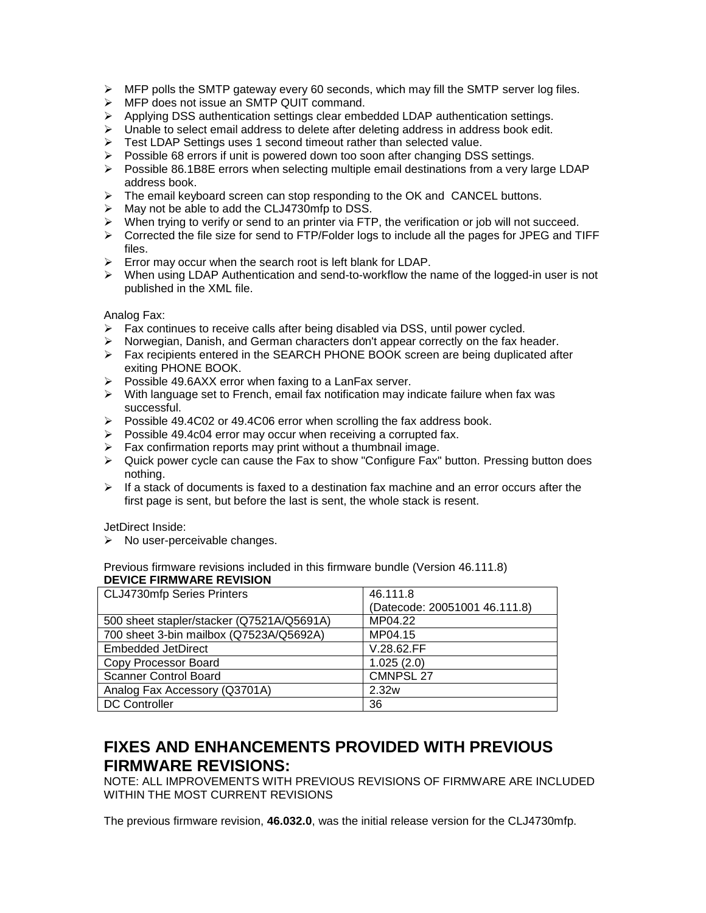- $\triangleright$  MFP polls the SMTP gateway every 60 seconds, which may fill the SMTP server log files.
- $\triangleright$  MFP does not issue an SMTP QUIT command.
- Applying DSS authentication settings clear embedded LDAP authentication settings.
- $\triangleright$  Unable to select email address to delete after deleting address in address book edit.
- $\triangleright$  Test LDAP Settings uses 1 second timeout rather than selected value.
- $\triangleright$  Possible 68 errors if unit is powered down too soon after changing DSS settings.
- $\triangleright$  Possible 86.1B8E errors when selecting multiple email destinations from a very large LDAP address book.
- $\triangleright$  The email keyboard screen can stop responding to the OK and CANCEL buttons.
- May not be able to add the CLJ4730mfp to DSS.
- $\triangleright$  When trying to verify or send to an printer via FTP, the verification or job will not succeed.
- $\triangleright$  Corrected the file size for send to FTP/Folder logs to include all the pages for JPEG and TIFF files.
- $\triangleright$  Error may occur when the search root is left blank for LDAP.
- $\triangleright$  When using LDAP Authentication and send-to-workflow the name of the logged-in user is not published in the XML file.

Analog Fax:

- $\triangleright$  Fax continues to receive calls after being disabled via DSS, until power cycled.
- Norwegian, Danish, and German characters don't appear correctly on the fax header.
- Fax recipients entered in the SEARCH PHONE BOOK screen are being duplicated after exiting PHONE BOOK.
- $\triangleright$  Possible 49.6AXX error when faxing to a LanFax server.
- $\triangleright$  With language set to French, email fax notification may indicate failure when fax was successful.
- $\triangleright$  Possible 49.4C02 or 49.4C06 error when scrolling the fax address book.
- $\triangleright$  Possible 49.4c04 error may occur when receiving a corrupted fax.
- $\triangleright$  Fax confirmation reports may print without a thumbnail image.
- $\triangleright$  Quick power cycle can cause the Fax to show "Configure Fax" button. Pressing button does nothing.
- $\triangleright$  If a stack of documents is faxed to a destination fax machine and an error occurs after the first page is sent, but before the last is sent, the whole stack is resent.

JetDirect Inside:

 $\triangleright$  No user-perceivable changes.

Previous firmware revisions included in this firmware bundle (Version 46.111.8)

#### **DEVICE FIRMWARE REVISION**

| <b>CLJ4730mfp Series Printers</b>         | 46.111.8                      |
|-------------------------------------------|-------------------------------|
|                                           | (Datecode: 20051001 46.111.8) |
| 500 sheet stapler/stacker (Q7521A/Q5691A) | MP04.22                       |
| 700 sheet 3-bin mailbox (Q7523A/Q5692A)   | MP04.15                       |
| <b>Embedded JetDirect</b>                 | V.28.62.FF                    |
| Copy Processor Board                      | 1.025(2.0)                    |
| <b>Scanner Control Board</b>              | <b>CMNPSL 27</b>              |
| Analog Fax Accessory (Q3701A)             | 2.32w                         |
| <b>DC Controller</b>                      | 36                            |

# **FIXES AND ENHANCEMENTS PROVIDED WITH PREVIOUS FIRMWARE REVISIONS:**

NOTE: ALL IMPROVEMENTS WITH PREVIOUS REVISIONS OF FIRMWARE ARE INCLUDED WITHIN THE MOST CURRENT REVISIONS

The previous firmware revision, **46.032.0**, was the initial release version for the CLJ4730mfp.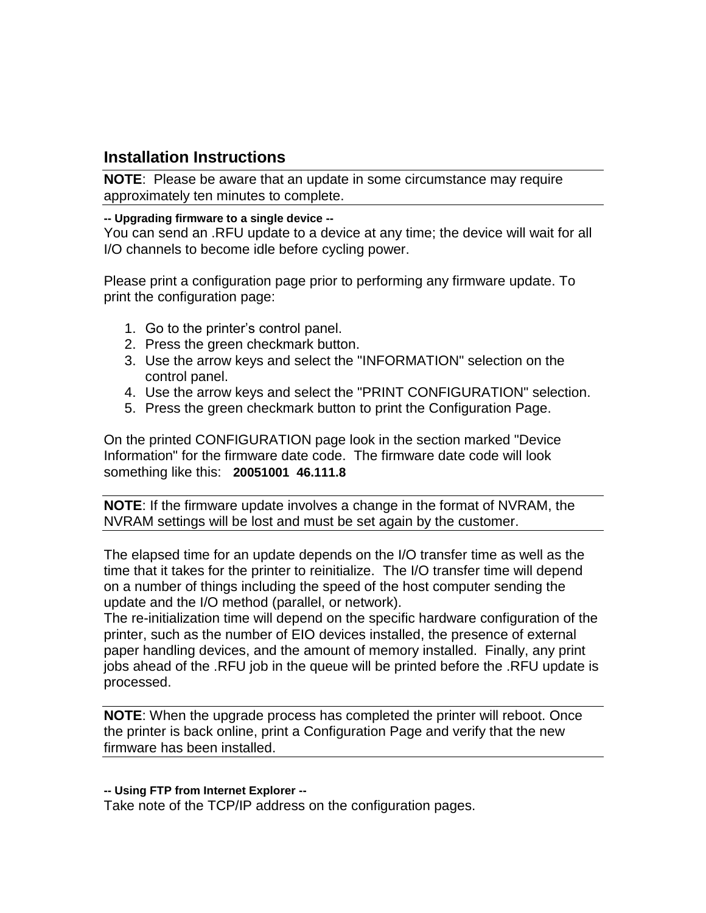# **Installation Instructions**

**NOTE**: Please be aware that an update in some circumstance may require approximately ten minutes to complete.

## **-- Upgrading firmware to a single device --**

You can send an .RFU update to a device at any time; the device will wait for all I/O channels to become idle before cycling power.

Please print a configuration page prior to performing any firmware update. To print the configuration page:

- 1. Go to the printer's control panel.
- 2. Press the green checkmark button.
- 3. Use the arrow keys and select the "INFORMATION" selection on the control panel.
- 4. Use the arrow keys and select the "PRINT CONFIGURATION" selection.
- 5. Press the green checkmark button to print the Configuration Page.

On the printed CONFIGURATION page look in the section marked "Device Information" for the firmware date code. The firmware date code will look something like this: **20051001 46.111.8**

**NOTE**: If the firmware update involves a change in the format of NVRAM, the NVRAM settings will be lost and must be set again by the customer.

The elapsed time for an update depends on the I/O transfer time as well as the time that it takes for the printer to reinitialize. The I/O transfer time will depend on a number of things including the speed of the host computer sending the update and the I/O method (parallel, or network).

The re-initialization time will depend on the specific hardware configuration of the printer, such as the number of EIO devices installed, the presence of external paper handling devices, and the amount of memory installed. Finally, any print jobs ahead of the .RFU job in the queue will be printed before the .RFU update is processed.

**NOTE**: When the upgrade process has completed the printer will reboot. Once the printer is back online, print a Configuration Page and verify that the new firmware has been installed.

## **-- Using FTP from Internet Explorer --**

Take note of the TCP/IP address on the configuration pages.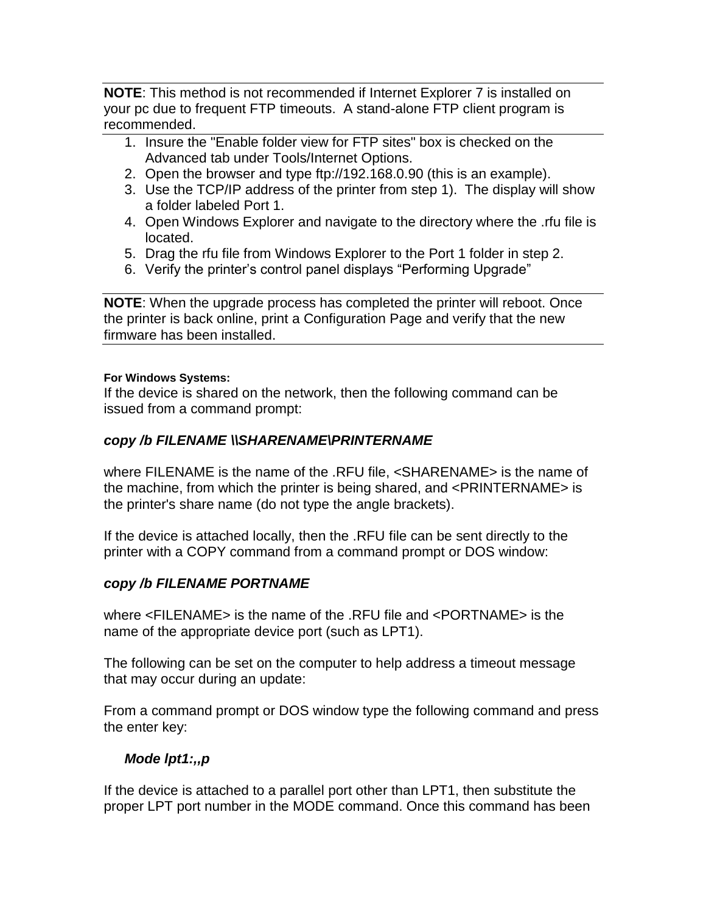**NOTE**: This method is not recommended if Internet Explorer 7 is installed on your pc due to frequent FTP timeouts. A stand-alone FTP client program is recommended.

- 1. Insure the "Enable folder view for FTP sites" box is checked on the Advanced tab under Tools/Internet Options.
- 2. Open the browser and type ftp://192.168.0.90 (this is an example).
- 3. Use the TCP/IP address of the printer from step 1). The display will show a folder labeled Port 1.
- 4. Open Windows Explorer and navigate to the directory where the .rfu file is located.
- 5. Drag the rfu file from Windows Explorer to the Port 1 folder in step 2.
- 6. Verify the printer's control panel displays "Performing Upgrade"

**NOTE**: When the upgrade process has completed the printer will reboot. Once the printer is back online, print a Configuration Page and verify that the new firmware has been installed.

## **For Windows Systems:**

If the device is shared on the network, then the following command can be issued from a command prompt:

## *copy /b FILENAME \\SHARENAME\PRINTERNAME*

where FILENAME is the name of the .RFU file, <SHARENAME> is the name of the machine, from which the printer is being shared, and <PRINTERNAME> is the printer's share name (do not type the angle brackets).

If the device is attached locally, then the .RFU file can be sent directly to the printer with a COPY command from a command prompt or DOS window:

## *copy /b FILENAME PORTNAME*

where <FILENAME> is the name of the .RFU file and <PORTNAME> is the name of the appropriate device port (such as LPT1).

The following can be set on the computer to help address a timeout message that may occur during an update:

From a command prompt or DOS window type the following command and press the enter key:

## *Mode lpt1:,,p*

If the device is attached to a parallel port other than LPT1, then substitute the proper LPT port number in the MODE command. Once this command has been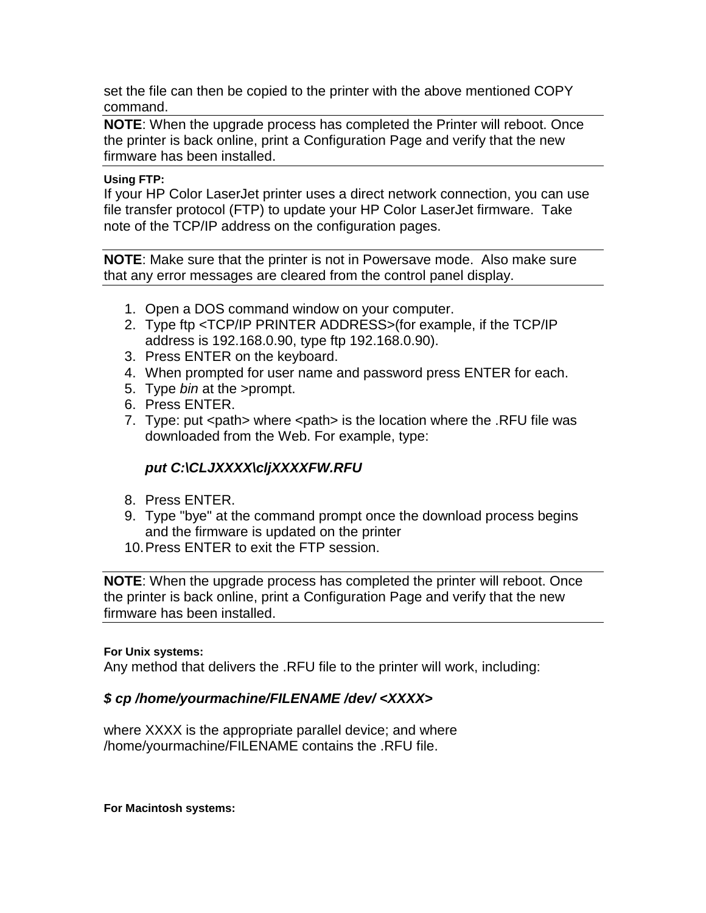set the file can then be copied to the printer with the above mentioned COPY command.

**NOTE**: When the upgrade process has completed the Printer will reboot. Once the printer is back online, print a Configuration Page and verify that the new firmware has been installed.

## **Using FTP:**

If your HP Color LaserJet printer uses a direct network connection, you can use file transfer protocol (FTP) to update your HP Color LaserJet firmware. Take note of the TCP/IP address on the configuration pages.

**NOTE**: Make sure that the printer is not in Powersave mode. Also make sure that any error messages are cleared from the control panel display.

- 1. Open a DOS command window on your computer.
- 2. Type ftp <TCP/IP PRINTER ADDRESS>(for example, if the TCP/IP address is 192.168.0.90, type ftp 192.168.0.90).
- 3. Press ENTER on the keyboard.
- 4. When prompted for user name and password press ENTER for each.
- 5. Type *bin* at the >prompt.
- 6. Press ENTER.
- 7. Type: put <path> where <path> is the location where the .RFU file was downloaded from the Web. For example, type:

## *put C:\CLJXXXX\cljXXXXFW.RFU*

- 8. Press ENTER.
- 9. Type "bye" at the command prompt once the download process begins and the firmware is updated on the printer
- 10.Press ENTER to exit the FTP session.

**NOTE**: When the upgrade process has completed the printer will reboot. Once the printer is back online, print a Configuration Page and verify that the new firmware has been installed.

## **For Unix systems:**

Any method that delivers the .RFU file to the printer will work, including:

## *\$ cp /home/yourmachine/FILENAME /dev/ <XXXX>*

where XXXX is the appropriate parallel device; and where /home/yourmachine/FILENAME contains the .RFU file.

**For Macintosh systems:**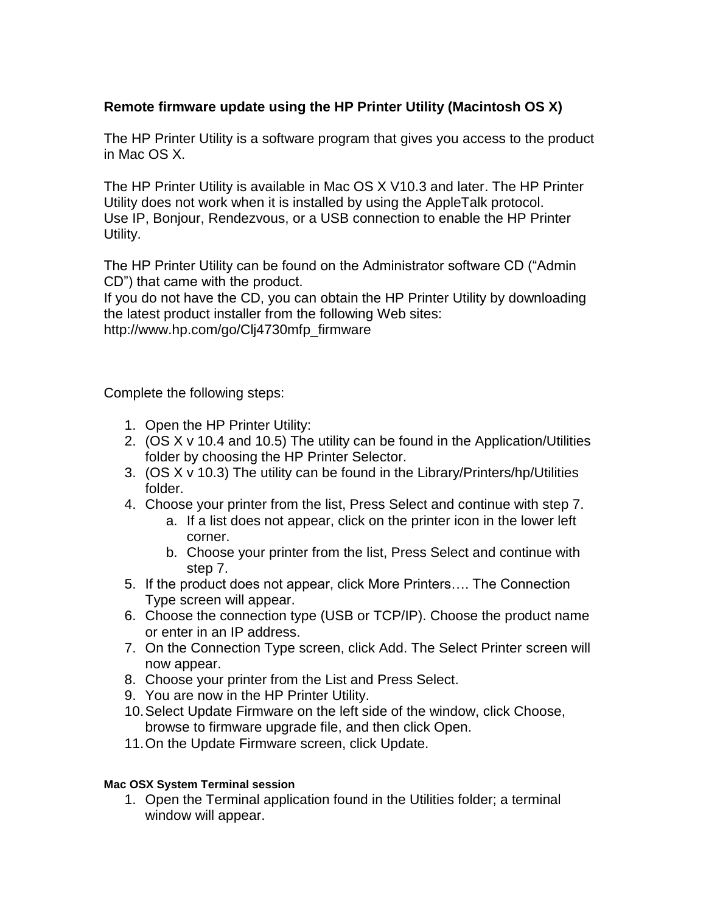## **Remote firmware update using the HP Printer Utility (Macintosh OS X)**

The HP Printer Utility is a software program that gives you access to the product in Mac OS X.

The HP Printer Utility is available in Mac OS X V10.3 and later. The HP Printer Utility does not work when it is installed by using the AppleTalk protocol. Use IP, Bonjour, Rendezvous, or a USB connection to enable the HP Printer Utility.

The HP Printer Utility can be found on the Administrator software CD ("Admin CD") that came with the product.

If you do not have the CD, you can obtain the HP Printer Utility by downloading the latest product installer from the following Web sites:

http://www.hp.com/go/Clj4730mfp\_firmware

Complete the following steps:

- 1. Open the HP Printer Utility:
- 2. (OS X v 10.4 and 10.5) The utility can be found in the Application/Utilities folder by choosing the HP Printer Selector.
- 3. (OS X v 10.3) The utility can be found in the Library/Printers/hp/Utilities folder.
- 4. Choose your printer from the list, Press Select and continue with step 7.
	- a. If a list does not appear, click on the printer icon in the lower left corner.
	- b. Choose your printer from the list, Press Select and continue with step 7.
- 5. If the product does not appear, click More Printers…. The Connection Type screen will appear.
- 6. Choose the connection type (USB or TCP/IP). Choose the product name or enter in an IP address.
- 7. On the Connection Type screen, click Add. The Select Printer screen will now appear.
- 8. Choose your printer from the List and Press Select.
- 9. You are now in the HP Printer Utility.
- 10.Select Update Firmware on the left side of the window, click Choose, browse to firmware upgrade file, and then click Open.
- 11.On the Update Firmware screen, click Update.

## **Mac OSX System Terminal session**

1. Open the Terminal application found in the Utilities folder; a terminal window will appear.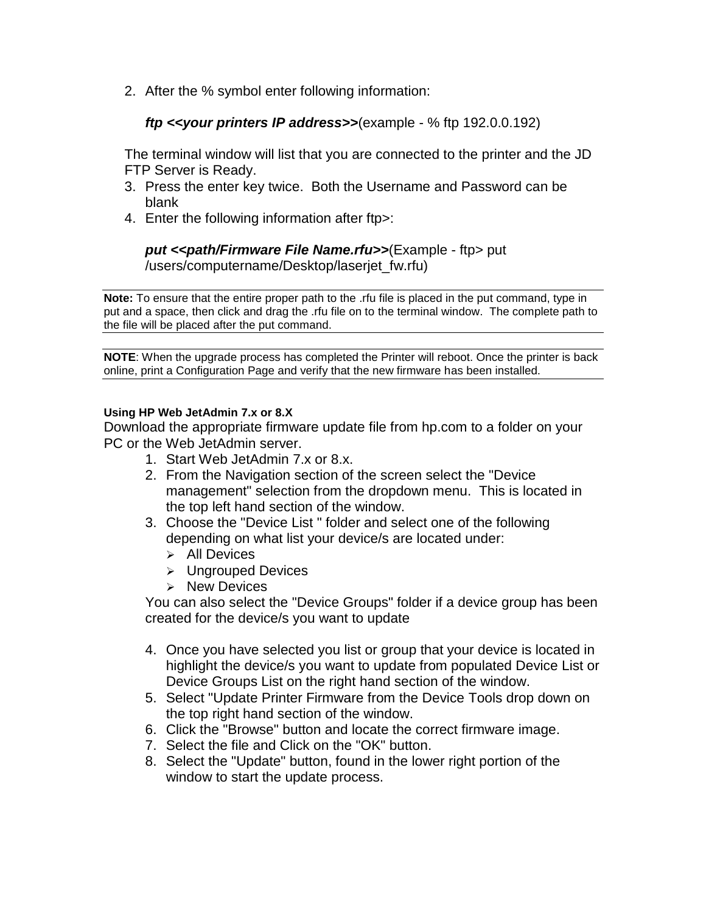2. After the % symbol enter following information:

*ftp <<your printers IP address>>*(example - % ftp 192.0.0.192)

The terminal window will list that you are connected to the printer and the JD FTP Server is Ready.

- 3. Press the enter key twice. Both the Username and Password can be blank
- 4. Enter the following information after ftp>:

*put << path/Firmware File Name.rfu>>*(Example - ftp> put /users/computername/Desktop/laserjet\_fw.rfu)

**Note:** To ensure that the entire proper path to the .rfu file is placed in the put command, type in put and a space, then click and drag the .rfu file on to the terminal window. The complete path to the file will be placed after the put command.

**NOTE**: When the upgrade process has completed the Printer will reboot. Once the printer is back online, print a Configuration Page and verify that the new firmware has been installed.

## **Using HP Web JetAdmin 7.x or 8.X**

Download the appropriate firmware update file from hp.com to a folder on your PC or the Web JetAdmin server.

- 1. Start Web JetAdmin 7.x or 8.x.
- 2. From the Navigation section of the screen select the "Device management" selection from the dropdown menu. This is located in the top left hand section of the window.
- 3. Choose the "Device List " folder and select one of the following depending on what list your device/s are located under:
	- > All Devices
	- **EXA** Ungrouped Devices
	- $\triangleright$  New Devices

You can also select the "Device Groups" folder if a device group has been created for the device/s you want to update

- 4. Once you have selected you list or group that your device is located in highlight the device/s you want to update from populated Device List or Device Groups List on the right hand section of the window.
- 5. Select "Update Printer Firmware from the Device Tools drop down on the top right hand section of the window.
- 6. Click the "Browse" button and locate the correct firmware image.
- 7. Select the file and Click on the "OK" button.
- 8. Select the "Update" button, found in the lower right portion of the window to start the update process.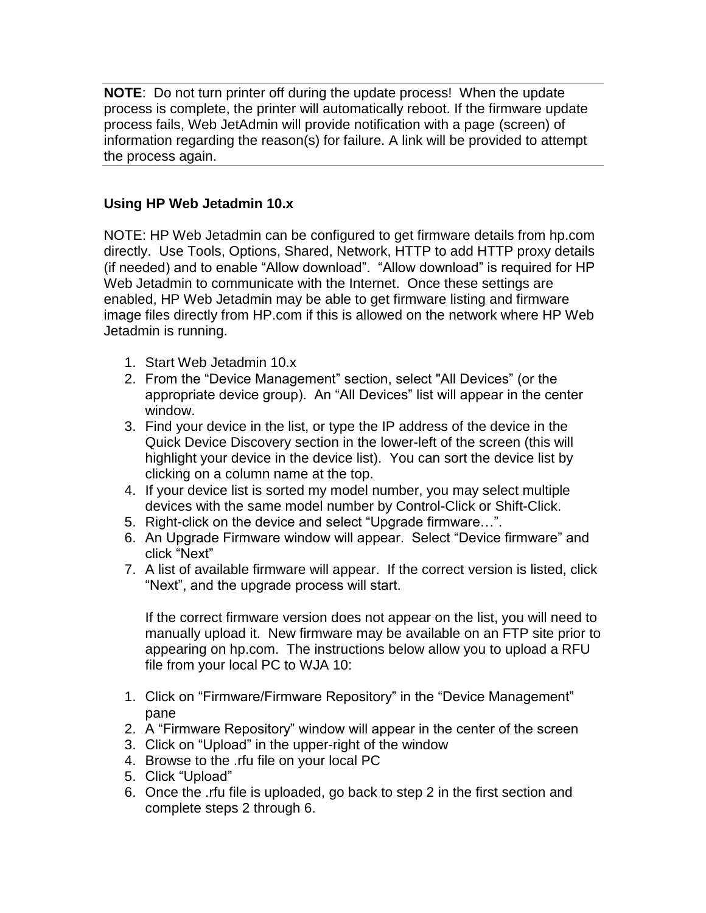**NOTE**: Do not turn printer off during the update process! When the update process is complete, the printer will automatically reboot. If the firmware update process fails, Web JetAdmin will provide notification with a page (screen) of information regarding the reason(s) for failure. A link will be provided to attempt the process again.

## **Using HP Web Jetadmin 10.x**

NOTE: HP Web Jetadmin can be configured to get firmware details from hp.com directly. Use Tools, Options, Shared, Network, HTTP to add HTTP proxy details (if needed) and to enable "Allow download". "Allow download" is required for HP Web Jetadmin to communicate with the Internet. Once these settings are enabled, HP Web Jetadmin may be able to get firmware listing and firmware image files directly from HP.com if this is allowed on the network where HP Web Jetadmin is running.

- 1. Start Web Jetadmin 10.x
- 2. From the "Device Management" section, select "All Devices" (or the appropriate device group). An "All Devices" list will appear in the center window.
- 3. Find your device in the list, or type the IP address of the device in the Quick Device Discovery section in the lower-left of the screen (this will highlight your device in the device list). You can sort the device list by clicking on a column name at the top.
- 4. If your device list is sorted my model number, you may select multiple devices with the same model number by Control-Click or Shift-Click.
- 5. Right-click on the device and select "Upgrade firmware…".
- 6. An Upgrade Firmware window will appear. Select "Device firmware" and click "Next"
- 7. A list of available firmware will appear. If the correct version is listed, click "Next", and the upgrade process will start.

If the correct firmware version does not appear on the list, you will need to manually upload it. New firmware may be available on an FTP site prior to appearing on hp.com. The instructions below allow you to upload a RFU file from your local PC to WJA 10:

- 1. Click on "Firmware/Firmware Repository" in the "Device Management" pane
- 2. A "Firmware Repository" window will appear in the center of the screen
- 3. Click on "Upload" in the upper-right of the window
- 4. Browse to the .rfu file on your local PC
- 5. Click "Upload"
- 6. Once the .rfu file is uploaded, go back to step 2 in the first section and complete steps 2 through 6.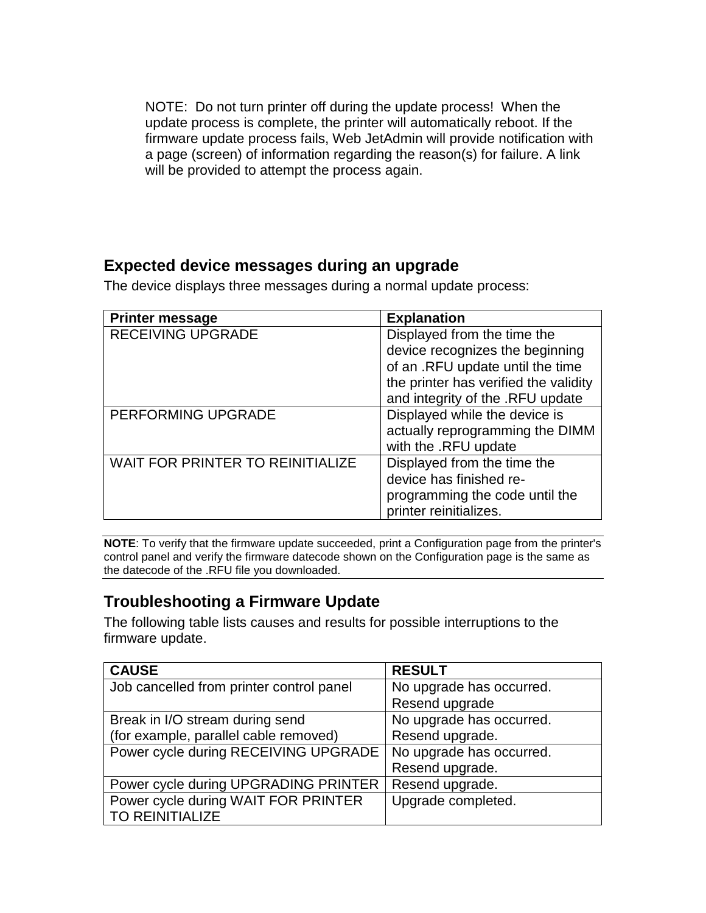NOTE: Do not turn printer off during the update process! When the update process is complete, the printer will automatically reboot. If the firmware update process fails, Web JetAdmin will provide notification with a page (screen) of information regarding the reason(s) for failure. A link will be provided to attempt the process again.

# **Expected device messages during an upgrade**

The device displays three messages during a normal update process:

| <b>Printer message</b>           | <b>Explanation</b>                    |
|----------------------------------|---------------------------------------|
| <b>RECEIVING UPGRADE</b>         | Displayed from the time the           |
|                                  | device recognizes the beginning       |
|                                  | of an .RFU update until the time      |
|                                  | the printer has verified the validity |
|                                  | and integrity of the .RFU update      |
| PERFORMING UPGRADE               | Displayed while the device is         |
|                                  | actually reprogramming the DIMM       |
|                                  | with the .RFU update                  |
| WAIT FOR PRINTER TO REINITIALIZE | Displayed from the time the           |
|                                  | device has finished re-               |
|                                  | programming the code until the        |
|                                  | printer reinitializes.                |

**NOTE**: To verify that the firmware update succeeded, print a Configuration page from the printer's control panel and verify the firmware datecode shown on the Configuration page is the same as the datecode of the .RFU file you downloaded.

# **Troubleshooting a Firmware Update**

The following table lists causes and results for possible interruptions to the firmware update.

| <b>CAUSE</b>                             | <b>RESULT</b>            |
|------------------------------------------|--------------------------|
| Job cancelled from printer control panel | No upgrade has occurred. |
|                                          | Resend upgrade           |
| Break in I/O stream during send          | No upgrade has occurred. |
| (for example, parallel cable removed)    | Resend upgrade.          |
| Power cycle during RECEIVING UPGRADE     | No upgrade has occurred. |
|                                          | Resend upgrade.          |
| Power cycle during UPGRADING PRINTER     | Resend upgrade.          |
| Power cycle during WAIT FOR PRINTER      | Upgrade completed.       |
| TO REINITIALIZE                          |                          |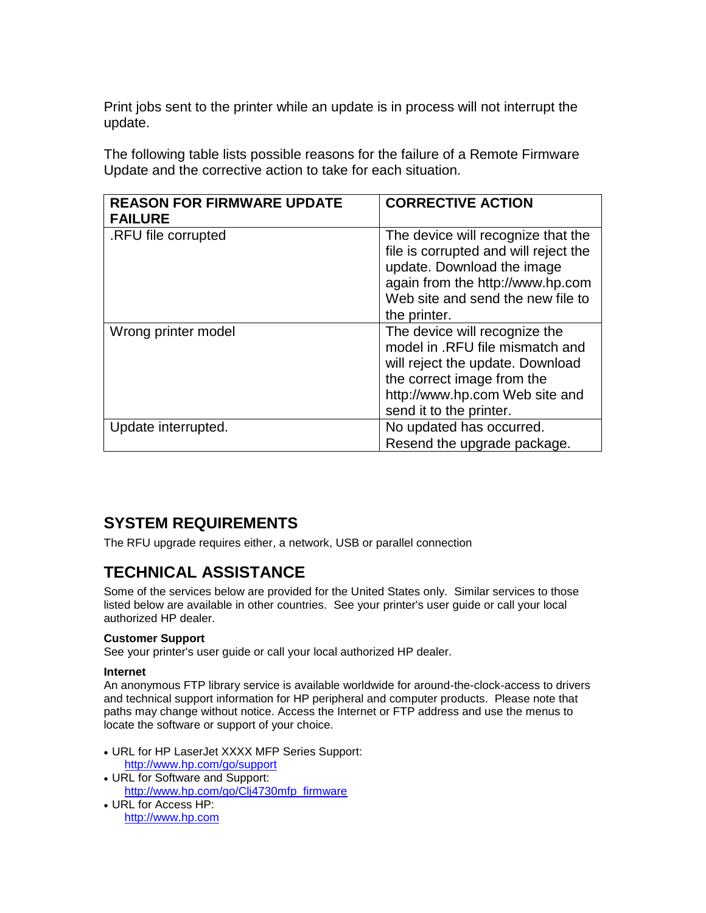Print jobs sent to the printer while an update is in process will not interrupt the update.

The following table lists possible reasons for the failure of a Remote Firmware Update and the corrective action to take for each situation.

| <b>REASON FOR FIRMWARE UPDATE</b><br><b>FAILURE</b> | <b>CORRECTIVE ACTION</b>                                                                                                                                                                           |
|-----------------------------------------------------|----------------------------------------------------------------------------------------------------------------------------------------------------------------------------------------------------|
| .RFU file corrupted                                 | The device will recognize that the<br>file is corrupted and will reject the<br>update. Download the image<br>again from the http://www.hp.com<br>Web site and send the new file to<br>the printer. |
| Wrong printer model                                 | The device will recognize the<br>model in .RFU file mismatch and<br>will reject the update. Download<br>the correct image from the<br>http://www.hp.com Web site and<br>send it to the printer.    |
| Update interrupted.                                 | No updated has occurred.<br>Resend the upgrade package.                                                                                                                                            |

# **SYSTEM REQUIREMENTS**

<span id="page-46-0"></span>The RFU upgrade requires either, a network, USB or parallel connection

# **TECHNICAL ASSISTANCE**

Some of the services below are provided for the United States only. Similar services to those listed below are available in other countries. See your printer's user guide or call your local authorized HP dealer.

## **Customer Support**

See your printer's user guide or call your local authorized HP dealer.

#### **Internet**

An anonymous FTP library service is available worldwide for around-the-clock-access to drivers and technical support information for HP peripheral and computer products. Please note that paths may change without notice. Access the Internet or FTP address and use the menus to locate the software or support of your choice.

- URL for HP LaserJet XXXX MFP Series Support: <http://www.hp.com/go/support>
- URL for Software and Support: [http://www.hp.com/go/Clj4730mfp\\_firmware](http://www.hp.com/go/Clj4730mfp_firmware)
- URL for Access HP: [http://www.hp.com](http://www.hp.com/)